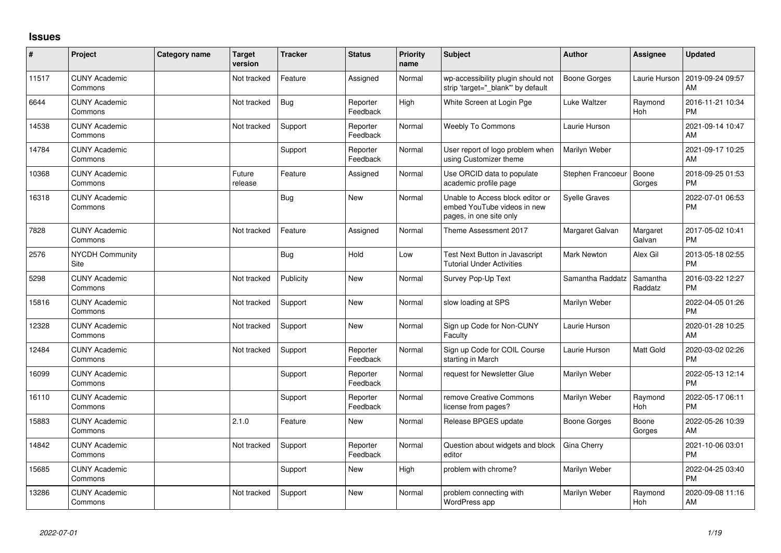## **Issues**

| #     | Project                         | Category name | <b>Target</b><br>version | <b>Tracker</b> | <b>Status</b>        | <b>Priority</b><br>name | <b>Subject</b>                                                                             | <b>Author</b>        | Assignee              | <b>Updated</b>                |
|-------|---------------------------------|---------------|--------------------------|----------------|----------------------|-------------------------|--------------------------------------------------------------------------------------------|----------------------|-----------------------|-------------------------------|
| 11517 | <b>CUNY Academic</b><br>Commons |               | Not tracked              | Feature        | Assigned             | Normal                  | wp-accessibility plugin should not<br>strip 'target="_blank"' by default                   | Boone Gorges         | Laurie Hurson         | 2019-09-24 09:57<br>AM        |
| 6644  | <b>CUNY Academic</b><br>Commons |               | Not tracked              | Bug            | Reporter<br>Feedback | High                    | White Screen at Login Pge                                                                  | Luke Waltzer         | Raymond<br>Hoh        | 2016-11-21 10:34<br><b>PM</b> |
| 14538 | <b>CUNY Academic</b><br>Commons |               | Not tracked              | Support        | Reporter<br>Feedback | Normal                  | <b>Weebly To Commons</b>                                                                   | Laurie Hurson        |                       | 2021-09-14 10:47<br>AM        |
| 14784 | <b>CUNY Academic</b><br>Commons |               |                          | Support        | Reporter<br>Feedback | Normal                  | User report of logo problem when<br>using Customizer theme                                 | Marilyn Weber        |                       | 2021-09-17 10:25<br>AM        |
| 10368 | <b>CUNY Academic</b><br>Commons |               | Future<br>release        | Feature        | Assigned             | Normal                  | Use ORCID data to populate<br>academic profile page                                        | Stephen Francoeur    | Boone<br>Gorges       | 2018-09-25 01:53<br><b>PM</b> |
| 16318 | <b>CUNY Academic</b><br>Commons |               |                          | <b>Bug</b>     | New                  | Normal                  | Unable to Access block editor or<br>embed YouTube videos in new<br>pages, in one site only | <b>Syelle Graves</b> |                       | 2022-07-01 06:53<br><b>PM</b> |
| 7828  | <b>CUNY Academic</b><br>Commons |               | Not tracked              | Feature        | Assigned             | Normal                  | Theme Assessment 2017                                                                      | Margaret Galvan      | Margaret<br>Galvan    | 2017-05-02 10:41<br><b>PM</b> |
| 2576  | NYCDH Community<br>Site         |               |                          | <b>Bug</b>     | Hold                 | Low                     | Test Next Button in Javascript<br><b>Tutorial Under Activities</b>                         | Mark Newton          | Alex Gil              | 2013-05-18 02:55<br><b>PM</b> |
| 5298  | <b>CUNY Academic</b><br>Commons |               | Not tracked              | Publicity      | <b>New</b>           | Normal                  | Survey Pop-Up Text                                                                         | Samantha Raddatz     | Samantha<br>Raddatz   | 2016-03-22 12:27<br><b>PM</b> |
| 15816 | <b>CUNY Academic</b><br>Commons |               | Not tracked              | Support        | <b>New</b>           | Normal                  | slow loading at SPS                                                                        | Marilyn Weber        |                       | 2022-04-05 01:26<br><b>PM</b> |
| 12328 | <b>CUNY Academic</b><br>Commons |               | Not tracked              | Support        | <b>New</b>           | Normal                  | Sign up Code for Non-CUNY<br>Faculty                                                       | Laurie Hurson        |                       | 2020-01-28 10:25<br>AM        |
| 12484 | <b>CUNY Academic</b><br>Commons |               | Not tracked              | Support        | Reporter<br>Feedback | Normal                  | Sign up Code for COIL Course<br>starting in March                                          | Laurie Hurson        | Matt Gold             | 2020-03-02 02:26<br><b>PM</b> |
| 16099 | <b>CUNY Academic</b><br>Commons |               |                          | Support        | Reporter<br>Feedback | Normal                  | request for Newsletter Glue                                                                | Marilyn Weber        |                       | 2022-05-13 12:14<br><b>PM</b> |
| 16110 | <b>CUNY Academic</b><br>Commons |               |                          | Support        | Reporter<br>Feedback | Normal                  | remove Creative Commons<br>license from pages?                                             | Marilyn Weber        | Raymond<br>Hoh        | 2022-05-17 06:11<br><b>PM</b> |
| 15883 | <b>CUNY Academic</b><br>Commons |               | 2.1.0                    | Feature        | New                  | Normal                  | Release BPGES update                                                                       | Boone Gorges         | Boone<br>Gorges       | 2022-05-26 10:39<br>AM        |
| 14842 | <b>CUNY Academic</b><br>Commons |               | Not tracked              | Support        | Reporter<br>Feedback | Normal                  | Question about widgets and block<br>editor                                                 | Gina Cherry          |                       | 2021-10-06 03:01<br><b>PM</b> |
| 15685 | <b>CUNY Academic</b><br>Commons |               |                          | Support        | <b>New</b>           | High                    | problem with chrome?                                                                       | Marilyn Weber        |                       | 2022-04-25 03:40<br>PM        |
| 13286 | <b>CUNY Academic</b><br>Commons |               | Not tracked              | Support        | <b>New</b>           | Normal                  | problem connecting with<br>WordPress app                                                   | Marilyn Weber        | Raymond<br><b>Hoh</b> | 2020-09-08 11:16<br>AM        |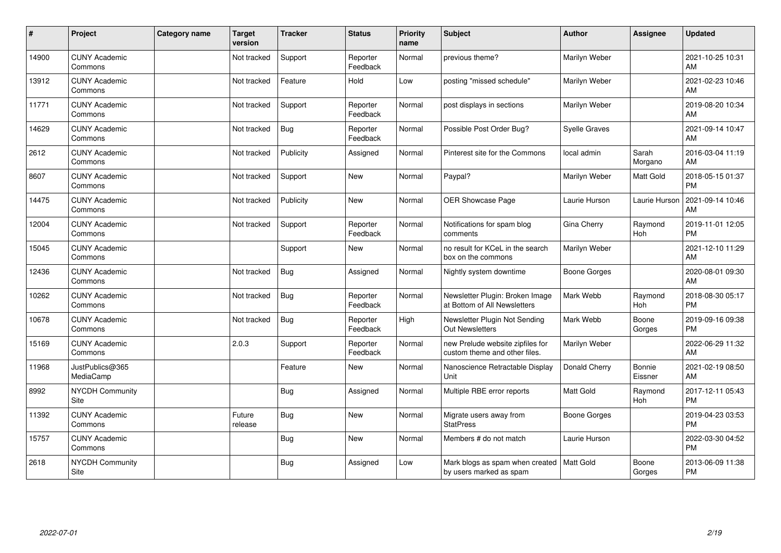| $\vert$ # | Project                         | <b>Category name</b> | <b>Target</b><br>version | <b>Tracker</b> | <b>Status</b>        | <b>Priority</b><br>name | <b>Subject</b>                                                    | Author               | Assignee          | <b>Updated</b>                |
|-----------|---------------------------------|----------------------|--------------------------|----------------|----------------------|-------------------------|-------------------------------------------------------------------|----------------------|-------------------|-------------------------------|
| 14900     | <b>CUNY Academic</b><br>Commons |                      | Not tracked              | Support        | Reporter<br>Feedback | Normal                  | previous theme?                                                   | Marilyn Weber        |                   | 2021-10-25 10:31<br>AM        |
| 13912     | <b>CUNY Academic</b><br>Commons |                      | Not tracked              | Feature        | Hold                 | Low                     | posting "missed schedule"                                         | Marilyn Weber        |                   | 2021-02-23 10:46<br>AM        |
| 11771     | <b>CUNY Academic</b><br>Commons |                      | Not tracked              | Support        | Reporter<br>Feedback | Normal                  | post displays in sections                                         | Marilyn Weber        |                   | 2019-08-20 10:34<br>AM        |
| 14629     | <b>CUNY Academic</b><br>Commons |                      | Not tracked              | Bug            | Reporter<br>Feedback | Normal                  | Possible Post Order Bug?                                          | <b>Syelle Graves</b> |                   | 2021-09-14 10:47<br>AM        |
| 2612      | <b>CUNY Academic</b><br>Commons |                      | Not tracked              | Publicity      | Assigned             | Normal                  | Pinterest site for the Commons                                    | local admin          | Sarah<br>Morgano  | 2016-03-04 11:19<br>AM        |
| 8607      | <b>CUNY Academic</b><br>Commons |                      | Not tracked              | Support        | <b>New</b>           | Normal                  | Paypal?                                                           | Marilyn Weber        | Matt Gold         | 2018-05-15 01:37<br><b>PM</b> |
| 14475     | <b>CUNY Academic</b><br>Commons |                      | Not tracked              | Publicity      | <b>New</b>           | Normal                  | <b>OER Showcase Page</b>                                          | Laurie Hurson        | Laurie Hurson     | 2021-09-14 10:46<br>AM        |
| 12004     | <b>CUNY Academic</b><br>Commons |                      | Not tracked              | Support        | Reporter<br>Feedback | Normal                  | Notifications for spam blog<br>comments                           | Gina Cherry          | Raymond<br>Hoh    | 2019-11-01 12:05<br><b>PM</b> |
| 15045     | <b>CUNY Academic</b><br>Commons |                      |                          | Support        | <b>New</b>           | Normal                  | no result for KCeL in the search<br>box on the commons            | Marilyn Weber        |                   | 2021-12-10 11:29<br>AM        |
| 12436     | <b>CUNY Academic</b><br>Commons |                      | Not tracked              | <b>Bug</b>     | Assigned             | Normal                  | Nightly system downtime                                           | <b>Boone Gorges</b>  |                   | 2020-08-01 09:30<br>AM        |
| 10262     | <b>CUNY Academic</b><br>Commons |                      | Not tracked              | Bug            | Reporter<br>Feedback | Normal                  | Newsletter Plugin: Broken Image<br>at Bottom of All Newsletters   | Mark Webb            | Raymond<br>Hoh    | 2018-08-30 05:17<br><b>PM</b> |
| 10678     | <b>CUNY Academic</b><br>Commons |                      | Not tracked              | Bug            | Reporter<br>Feedback | High                    | Newsletter Plugin Not Sending<br><b>Out Newsletters</b>           | Mark Webb            | Boone<br>Gorges   | 2019-09-16 09:38<br><b>PM</b> |
| 15169     | <b>CUNY Academic</b><br>Commons |                      | 2.0.3                    | Support        | Reporter<br>Feedback | Normal                  | new Prelude website zipfiles for<br>custom theme and other files. | Marilyn Weber        |                   | 2022-06-29 11:32<br>AM        |
| 11968     | JustPublics@365<br>MediaCamp    |                      |                          | Feature        | New                  | Normal                  | Nanoscience Retractable Display<br>Unit                           | Donald Cherry        | Bonnie<br>Eissner | 2021-02-19 08:50<br>AM        |
| 8992      | NYCDH Community<br>Site         |                      |                          | Bug            | Assigned             | Normal                  | Multiple RBE error reports                                        | <b>Matt Gold</b>     | Raymond<br>Hoh    | 2017-12-11 05:43<br><b>PM</b> |
| 11392     | <b>CUNY Academic</b><br>Commons |                      | Future<br>release        | <b>Bug</b>     | <b>New</b>           | Normal                  | Migrate users away from<br><b>StatPress</b>                       | Boone Gorges         |                   | 2019-04-23 03:53<br><b>PM</b> |
| 15757     | <b>CUNY Academic</b><br>Commons |                      |                          | <b>Bug</b>     | <b>New</b>           | Normal                  | Members # do not match                                            | Laurie Hurson        |                   | 2022-03-30 04:52<br><b>PM</b> |
| 2618      | NYCDH Community<br>Site         |                      |                          | <b>Bug</b>     | Assigned             | Low                     | Mark blogs as spam when created<br>by users marked as spam        | Matt Gold            | Boone<br>Gorges   | 2013-06-09 11:38<br><b>PM</b> |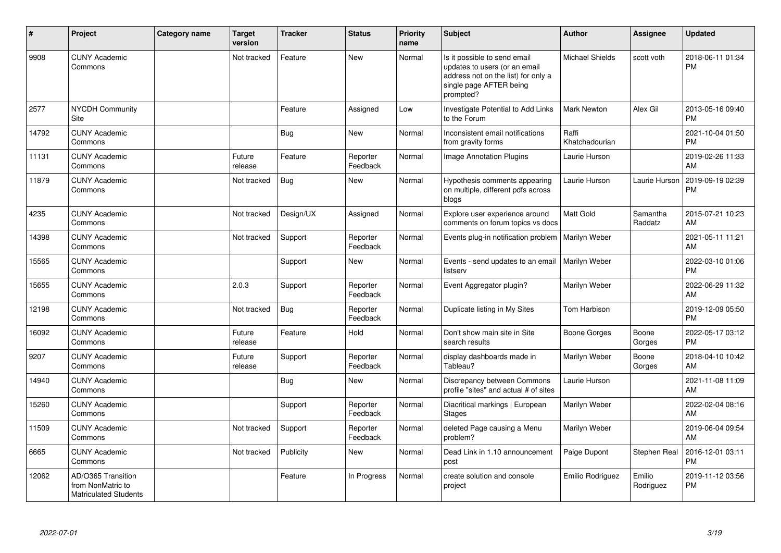| ∦     | Project                                                                 | Category name | <b>Target</b><br>version | <b>Tracker</b> | <b>Status</b>        | <b>Priority</b><br>name | <b>Subject</b>                                                                                                                               | <b>Author</b>           | <b>Assignee</b>     | <b>Updated</b>                |
|-------|-------------------------------------------------------------------------|---------------|--------------------------|----------------|----------------------|-------------------------|----------------------------------------------------------------------------------------------------------------------------------------------|-------------------------|---------------------|-------------------------------|
| 9908  | <b>CUNY Academic</b><br>Commons                                         |               | Not tracked              | Feature        | <b>New</b>           | Normal                  | Is it possible to send email<br>updates to users (or an email<br>address not on the list) for only a<br>single page AFTER being<br>prompted? | <b>Michael Shields</b>  | scott voth          | 2018-06-11 01:34<br><b>PM</b> |
| 2577  | <b>NYCDH Community</b><br>Site                                          |               |                          | Feature        | Assigned             | Low                     | Investigate Potential to Add Links<br>to the Forum                                                                                           | <b>Mark Newton</b>      | Alex Gil            | 2013-05-16 09:40<br><b>PM</b> |
| 14792 | <b>CUNY Academic</b><br>Commons                                         |               |                          | Bug            | <b>New</b>           | Normal                  | Inconsistent email notifications<br>from gravity forms                                                                                       | Raffi<br>Khatchadourian |                     | 2021-10-04 01:50<br><b>PM</b> |
| 11131 | <b>CUNY Academic</b><br>Commons                                         |               | Future<br>release        | Feature        | Reporter<br>Feedback | Normal                  | <b>Image Annotation Plugins</b>                                                                                                              | Laurie Hurson           |                     | 2019-02-26 11:33<br>AM        |
| 11879 | <b>CUNY Academic</b><br>Commons                                         |               | Not tracked              | <b>Bug</b>     | <b>New</b>           | Normal                  | Hypothesis comments appearing<br>on multiple, different pdfs across<br>blogs                                                                 | Laurie Hurson           | Laurie Hurson       | 2019-09-19 02:39<br>PM        |
| 4235  | <b>CUNY Academic</b><br>Commons                                         |               | Not tracked              | Design/UX      | Assigned             | Normal                  | Explore user experience around<br>comments on forum topics vs docs                                                                           | Matt Gold               | Samantha<br>Raddatz | 2015-07-21 10:23<br>AM        |
| 14398 | <b>CUNY Academic</b><br>Commons                                         |               | Not tracked              | Support        | Reporter<br>Feedback | Normal                  | Events plug-in notification problem                                                                                                          | Marilyn Weber           |                     | 2021-05-11 11:21<br>AM        |
| 15565 | <b>CUNY Academic</b><br>Commons                                         |               |                          | Support        | <b>New</b>           | Normal                  | Events - send updates to an email<br>listserv                                                                                                | Marilyn Weber           |                     | 2022-03-10 01:06<br><b>PM</b> |
| 15655 | <b>CUNY Academic</b><br>Commons                                         |               | 2.0.3                    | Support        | Reporter<br>Feedback | Normal                  | Event Aggregator plugin?                                                                                                                     | Marilyn Weber           |                     | 2022-06-29 11:32<br>AM        |
| 12198 | <b>CUNY Academic</b><br>Commons                                         |               | Not tracked              | Bug            | Reporter<br>Feedback | Normal                  | Duplicate listing in My Sites                                                                                                                | Tom Harbison            |                     | 2019-12-09 05:50<br><b>PM</b> |
| 16092 | <b>CUNY Academic</b><br>Commons                                         |               | Future<br>release        | Feature        | Hold                 | Normal                  | Don't show main site in Site<br>search results                                                                                               | Boone Gorges            | Boone<br>Gorges     | 2022-05-17 03:12<br><b>PM</b> |
| 9207  | <b>CUNY Academic</b><br>Commons                                         |               | Future<br>release        | Support        | Reporter<br>Feedback | Normal                  | display dashboards made in<br>Tableau?                                                                                                       | Marilyn Weber           | Boone<br>Gorges     | 2018-04-10 10:42<br>AM        |
| 14940 | <b>CUNY Academic</b><br>Commons                                         |               |                          | Bug            | New                  | Normal                  | Discrepancy between Commons<br>profile "sites" and actual # of sites                                                                         | Laurie Hurson           |                     | 2021-11-08 11:09<br>AM        |
| 15260 | <b>CUNY Academic</b><br>Commons                                         |               |                          | Support        | Reporter<br>Feedback | Normal                  | Diacritical markings   European<br><b>Stages</b>                                                                                             | Marilyn Weber           |                     | 2022-02-04 08:16<br>AM        |
| 11509 | <b>CUNY Academic</b><br>Commons                                         |               | Not tracked              | Support        | Reporter<br>Feedback | Normal                  | deleted Page causing a Menu<br>problem?                                                                                                      | Marilyn Weber           |                     | 2019-06-04 09:54<br>AM        |
| 6665  | <b>CUNY Academic</b><br>Commons                                         |               | Not tracked              | Publicity      | <b>New</b>           | Normal                  | Dead Link in 1.10 announcement<br>post                                                                                                       | Paige Dupont            | Stephen Real        | 2016-12-01 03:11<br>PM        |
| 12062 | AD/O365 Transition<br>from NonMatric to<br><b>Matriculated Students</b> |               |                          | Feature        | In Progress          | Normal                  | create solution and console<br>project                                                                                                       | Emilio Rodriguez        | Emilio<br>Rodriguez | 2019-11-12 03:56<br><b>PM</b> |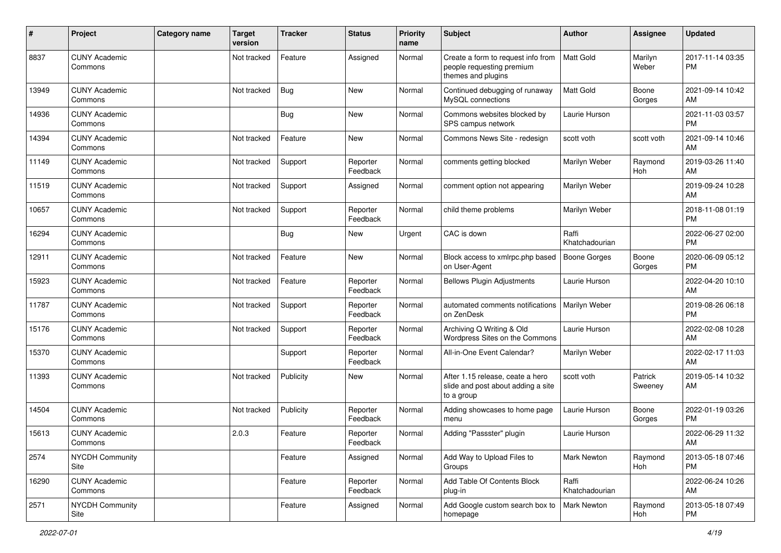| #     | Project                         | Category name | <b>Target</b><br>version | <b>Tracker</b> | <b>Status</b>        | Priority<br>name | Subject                                                                               | <b>Author</b>           | <b>Assignee</b>    | <b>Updated</b>                |
|-------|---------------------------------|---------------|--------------------------|----------------|----------------------|------------------|---------------------------------------------------------------------------------------|-------------------------|--------------------|-------------------------------|
| 8837  | <b>CUNY Academic</b><br>Commons |               | Not tracked              | Feature        | Assigned             | Normal           | Create a form to request info from<br>people requesting premium<br>themes and plugins | Matt Gold               | Marilyn<br>Weber   | 2017-11-14 03:35<br><b>PM</b> |
| 13949 | <b>CUNY Academic</b><br>Commons |               | Not tracked              | Bug            | <b>New</b>           | Normal           | Continued debugging of runaway<br>MySQL connections                                   | Matt Gold               | Boone<br>Gorges    | 2021-09-14 10:42<br>AM        |
| 14936 | <b>CUNY Academic</b><br>Commons |               |                          | Bug            | <b>New</b>           | Normal           | Commons websites blocked by<br>SPS campus network                                     | Laurie Hurson           |                    | 2021-11-03 03:57<br><b>PM</b> |
| 14394 | <b>CUNY Academic</b><br>Commons |               | Not tracked              | Feature        | New                  | Normal           | Commons News Site - redesign                                                          | scott voth              | scott voth         | 2021-09-14 10:46<br>AM        |
| 11149 | <b>CUNY Academic</b><br>Commons |               | Not tracked              | Support        | Reporter<br>Feedback | Normal           | comments getting blocked                                                              | Marilyn Weber           | Raymond<br>Hoh     | 2019-03-26 11:40<br>AM        |
| 11519 | <b>CUNY Academic</b><br>Commons |               | Not tracked              | Support        | Assigned             | Normal           | comment option not appearing                                                          | Marilyn Weber           |                    | 2019-09-24 10:28<br>AM        |
| 10657 | <b>CUNY Academic</b><br>Commons |               | Not tracked              | Support        | Reporter<br>Feedback | Normal           | child theme problems                                                                  | Marilyn Weber           |                    | 2018-11-08 01:19<br><b>PM</b> |
| 16294 | <b>CUNY Academic</b><br>Commons |               |                          | Bug            | New                  | Urgent           | CAC is down                                                                           | Raffi<br>Khatchadourian |                    | 2022-06-27 02:00<br><b>PM</b> |
| 12911 | <b>CUNY Academic</b><br>Commons |               | Not tracked              | Feature        | <b>New</b>           | Normal           | Block access to xmlrpc.php based<br>on User-Agent                                     | <b>Boone Gorges</b>     | Boone<br>Gorges    | 2020-06-09 05:12<br>PM        |
| 15923 | <b>CUNY Academic</b><br>Commons |               | Not tracked              | Feature        | Reporter<br>Feedback | Normal           | <b>Bellows Plugin Adjustments</b>                                                     | Laurie Hurson           |                    | 2022-04-20 10:10<br>AM        |
| 11787 | <b>CUNY Academic</b><br>Commons |               | Not tracked              | Support        | Reporter<br>Feedback | Normal           | automated comments notifications<br>on ZenDesk                                        | Marilyn Weber           |                    | 2019-08-26 06:18<br><b>PM</b> |
| 15176 | <b>CUNY Academic</b><br>Commons |               | Not tracked              | Support        | Reporter<br>Feedback | Normal           | Archiving Q Writing & Old<br>Wordpress Sites on the Commons                           | Laurie Hurson           |                    | 2022-02-08 10:28<br>AM        |
| 15370 | <b>CUNY Academic</b><br>Commons |               |                          | Support        | Reporter<br>Feedback | Normal           | All-in-One Event Calendar?                                                            | Marilyn Weber           |                    | 2022-02-17 11:03<br>AM        |
| 11393 | <b>CUNY Academic</b><br>Commons |               | Not tracked              | Publicity      | New                  | Normal           | After 1.15 release, ceate a hero<br>slide and post about adding a site<br>to a group  | scott voth              | Patrick<br>Sweeney | 2019-05-14 10:32<br>AM        |
| 14504 | <b>CUNY Academic</b><br>Commons |               | Not tracked              | Publicity      | Reporter<br>Feedback | Normal           | Adding showcases to home page<br>menu                                                 | Laurie Hurson           | Boone<br>Gorges    | 2022-01-19 03:26<br>PM        |
| 15613 | <b>CUNY Academic</b><br>Commons |               | 2.0.3                    | Feature        | Reporter<br>Feedback | Normal           | Adding "Passster" plugin                                                              | Laurie Hurson           |                    | 2022-06-29 11:32<br>AM        |
| 2574  | <b>NYCDH Community</b><br>Site  |               |                          | Feature        | Assigned             | Normal           | Add Way to Upload Files to<br>Groups                                                  | <b>Mark Newton</b>      | Raymond<br>Hoh     | 2013-05-18 07:46<br><b>PM</b> |
| 16290 | <b>CUNY Academic</b><br>Commons |               |                          | Feature        | Reporter<br>Feedback | Normal           | Add Table Of Contents Block<br>plug-in                                                | Raffi<br>Khatchadourian |                    | 2022-06-24 10:26<br>AM        |
| 2571  | NYCDH Community<br>Site         |               |                          | Feature        | Assigned             | Normal           | Add Google custom search box to<br>homepage                                           | Mark Newton             | Raymond<br>Hoh     | 2013-05-18 07:49<br><b>PM</b> |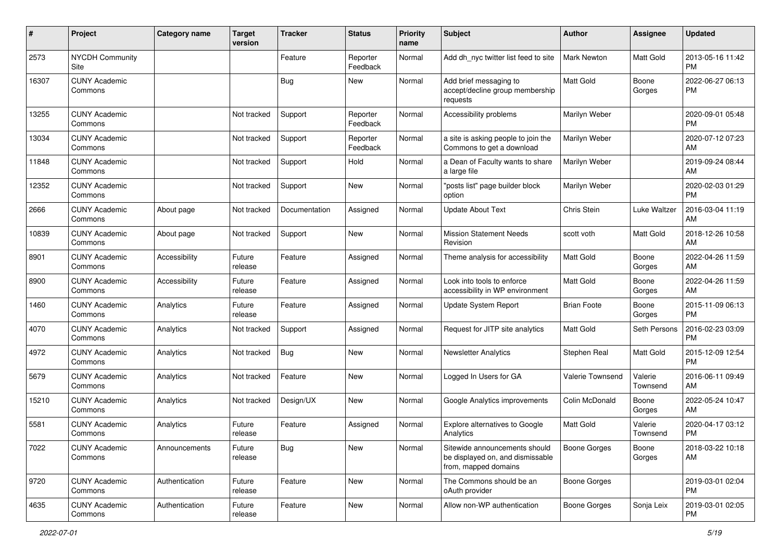| #     | Project                         | <b>Category name</b> | <b>Target</b><br>version | <b>Tracker</b> | <b>Status</b>        | Priority<br>name | <b>Subject</b>                                                                            | <b>Author</b>       | <b>Assignee</b>     | <b>Updated</b>                |
|-------|---------------------------------|----------------------|--------------------------|----------------|----------------------|------------------|-------------------------------------------------------------------------------------------|---------------------|---------------------|-------------------------------|
| 2573  | <b>NYCDH Community</b><br>Site  |                      |                          | Feature        | Reporter<br>Feedback | Normal           | Add dh_nyc twitter list feed to site                                                      | <b>Mark Newton</b>  | Matt Gold           | 2013-05-16 11:42<br>PM        |
| 16307 | <b>CUNY Academic</b><br>Commons |                      |                          | Bug            | New                  | Normal           | Add brief messaging to<br>accept/decline group membership<br>requests                     | Matt Gold           | Boone<br>Gorges     | 2022-06-27 06:13<br><b>PM</b> |
| 13255 | <b>CUNY Academic</b><br>Commons |                      | Not tracked              | Support        | Reporter<br>Feedback | Normal           | Accessibility problems                                                                    | Marilyn Weber       |                     | 2020-09-01 05:48<br><b>PM</b> |
| 13034 | <b>CUNY Academic</b><br>Commons |                      | Not tracked              | Support        | Reporter<br>Feedback | Normal           | a site is asking people to join the<br>Commons to get a download                          | Marilyn Weber       |                     | 2020-07-12 07:23<br>AM        |
| 11848 | <b>CUNY Academic</b><br>Commons |                      | Not tracked              | Support        | Hold                 | Normal           | a Dean of Faculty wants to share<br>a large file                                          | Marilyn Weber       |                     | 2019-09-24 08:44<br>AM        |
| 12352 | <b>CUNY Academic</b><br>Commons |                      | Not tracked              | Support        | <b>New</b>           | Normal           | "posts list" page builder block<br>option                                                 | Marilyn Weber       |                     | 2020-02-03 01:29<br><b>PM</b> |
| 2666  | <b>CUNY Academic</b><br>Commons | About page           | Not tracked              | Documentation  | Assigned             | Normal           | <b>Update About Text</b>                                                                  | Chris Stein         | Luke Waltzer        | 2016-03-04 11:19<br>AM        |
| 10839 | <b>CUNY Academic</b><br>Commons | About page           | Not tracked              | Support        | New                  | Normal           | <b>Mission Statement Needs</b><br>Revision                                                | scott voth          | Matt Gold           | 2018-12-26 10:58<br>AM        |
| 8901  | <b>CUNY Academic</b><br>Commons | Accessibility        | Future<br>release        | Feature        | Assigned             | Normal           | Theme analysis for accessibility                                                          | <b>Matt Gold</b>    | Boone<br>Gorges     | 2022-04-26 11:59<br>AM        |
| 8900  | <b>CUNY Academic</b><br>Commons | Accessibility        | Future<br>release        | Feature        | Assigned             | Normal           | Look into tools to enforce<br>accessibility in WP environment                             | Matt Gold           | Boone<br>Gorges     | 2022-04-26 11:59<br>AM        |
| 1460  | <b>CUNY Academic</b><br>Commons | Analytics            | Future<br>release        | Feature        | Assigned             | Normal           | Update System Report                                                                      | <b>Brian Foote</b>  | Boone<br>Gorges     | 2015-11-09 06:13<br><b>PM</b> |
| 4070  | <b>CUNY Academic</b><br>Commons | Analytics            | Not tracked              | Support        | Assigned             | Normal           | Request for JITP site analytics                                                           | <b>Matt Gold</b>    | Seth Persons        | 2016-02-23 03:09<br><b>PM</b> |
| 4972  | <b>CUNY Academic</b><br>Commons | Analytics            | Not tracked              | Bug            | <b>New</b>           | Normal           | <b>Newsletter Analytics</b>                                                               | Stephen Real        | Matt Gold           | 2015-12-09 12:54<br><b>PM</b> |
| 5679  | <b>CUNY Academic</b><br>Commons | Analytics            | Not tracked              | Feature        | New                  | Normal           | Logged In Users for GA                                                                    | Valerie Townsend    | Valerie<br>Townsend | 2016-06-11 09:49<br>AM        |
| 15210 | <b>CUNY Academic</b><br>Commons | Analytics            | Not tracked              | Design/UX      | New                  | Normal           | Google Analytics improvements                                                             | Colin McDonald      | Boone<br>Gorges     | 2022-05-24 10:47<br>AM        |
| 5581  | <b>CUNY Academic</b><br>Commons | Analytics            | Future<br>release        | Feature        | Assigned             | Normal           | Explore alternatives to Google<br>Analytics                                               | <b>Matt Gold</b>    | Valerie<br>Townsend | 2020-04-17 03:12<br><b>PM</b> |
| 7022  | <b>CUNY Academic</b><br>Commons | Announcements        | Future<br>release        | <b>Bug</b>     | New                  | Normal           | Sitewide announcements should<br>be displayed on, and dismissable<br>from, mapped domains | <b>Boone Gorges</b> | Boone<br>Gorges     | 2018-03-22 10:18<br>AM        |
| 9720  | <b>CUNY Academic</b><br>Commons | Authentication       | Future<br>release        | Feature        | New                  | Normal           | The Commons should be an<br>oAuth provider                                                | <b>Boone Gorges</b> |                     | 2019-03-01 02:04<br><b>PM</b> |
| 4635  | <b>CUNY Academic</b><br>Commons | Authentication       | Future<br>release        | Feature        | New                  | Normal           | Allow non-WP authentication                                                               | Boone Gorges        | Sonja Leix          | 2019-03-01 02:05<br><b>PM</b> |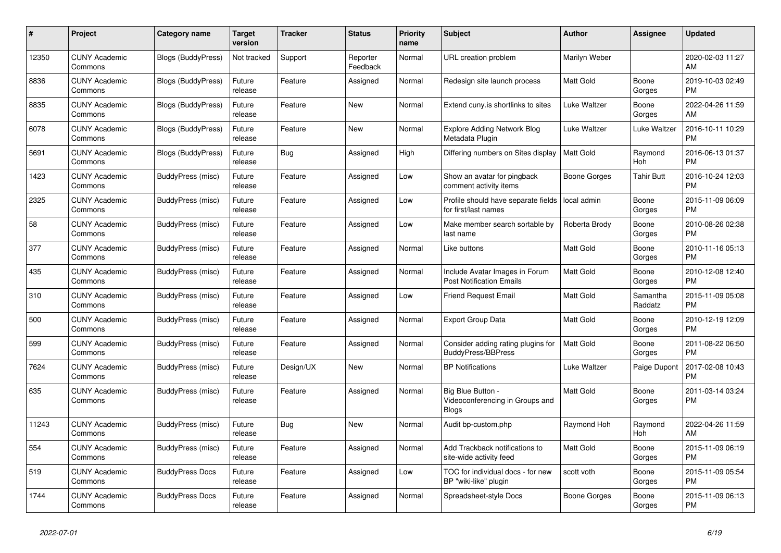| #     | Project                         | <b>Category name</b>      | Target<br>version | <b>Tracker</b> | <b>Status</b>        | <b>Priority</b><br>name | <b>Subject</b>                                                       | <b>Author</b>    | Assignee            | <b>Updated</b>                |
|-------|---------------------------------|---------------------------|-------------------|----------------|----------------------|-------------------------|----------------------------------------------------------------------|------------------|---------------------|-------------------------------|
| 12350 | <b>CUNY Academic</b><br>Commons | Blogs (BuddyPress)        | Not tracked       | Support        | Reporter<br>Feedback | Normal                  | URL creation problem                                                 | Marilyn Weber    |                     | 2020-02-03 11:27<br>AM        |
| 8836  | <b>CUNY Academic</b><br>Commons | <b>Blogs (BuddyPress)</b> | Future<br>release | Feature        | Assigned             | Normal                  | Redesign site launch process                                         | Matt Gold        | Boone<br>Gorges     | 2019-10-03 02:49<br><b>PM</b> |
| 8835  | <b>CUNY Academic</b><br>Commons | Blogs (BuddyPress)        | Future<br>release | Feature        | <b>New</b>           | Normal                  | Extend cuny.is shortlinks to sites                                   | Luke Waltzer     | Boone<br>Gorges     | 2022-04-26 11:59<br>AM        |
| 6078  | <b>CUNY Academic</b><br>Commons | <b>Blogs (BuddyPress)</b> | Future<br>release | Feature        | <b>New</b>           | Normal                  | <b>Explore Adding Network Blog</b><br>Metadata Plugin                | Luke Waltzer     | Luke Waltzer        | 2016-10-11 10:29<br><b>PM</b> |
| 5691  | <b>CUNY Academic</b><br>Commons | <b>Blogs (BuddyPress)</b> | Future<br>release | Bug            | Assigned             | High                    | Differing numbers on Sites display                                   | <b>Matt Gold</b> | Raymond<br>Hoh      | 2016-06-13 01:37<br><b>PM</b> |
| 1423  | <b>CUNY Academic</b><br>Commons | BuddyPress (misc)         | Future<br>release | Feature        | Assigned             | Low                     | Show an avatar for pingback<br>comment activity items                | Boone Gorges     | <b>Tahir Butt</b>   | 2016-10-24 12:03<br><b>PM</b> |
| 2325  | <b>CUNY Academic</b><br>Commons | BuddyPress (misc)         | Future<br>release | Feature        | Assigned             | Low                     | Profile should have separate fields<br>for first/last names          | local admin      | Boone<br>Gorges     | 2015-11-09 06:09<br><b>PM</b> |
| 58    | <b>CUNY Academic</b><br>Commons | BuddyPress (misc)         | Future<br>release | Feature        | Assigned             | Low                     | Make member search sortable by<br>last name                          | Roberta Brody    | Boone<br>Gorges     | 2010-08-26 02:38<br><b>PM</b> |
| 377   | <b>CUNY Academic</b><br>Commons | BuddyPress (misc)         | Future<br>release | Feature        | Assigned             | Normal                  | Like buttons                                                         | Matt Gold        | Boone<br>Gorges     | 2010-11-16 05:13<br><b>PM</b> |
| 435   | <b>CUNY Academic</b><br>Commons | BuddyPress (misc)         | Future<br>release | Feature        | Assigned             | Normal                  | Include Avatar Images in Forum<br><b>Post Notification Emails</b>    | <b>Matt Gold</b> | Boone<br>Gorges     | 2010-12-08 12:40<br><b>PM</b> |
| 310   | <b>CUNY Academic</b><br>Commons | BuddyPress (misc)         | Future<br>release | Feature        | Assigned             | Low                     | <b>Friend Request Email</b>                                          | Matt Gold        | Samantha<br>Raddatz | 2015-11-09 05:08<br><b>PM</b> |
| 500   | <b>CUNY Academic</b><br>Commons | BuddyPress (misc)         | Future<br>release | Feature        | Assigned             | Normal                  | <b>Export Group Data</b>                                             | Matt Gold        | Boone<br>Gorges     | 2010-12-19 12:09<br><b>PM</b> |
| 599   | <b>CUNY Academic</b><br>Commons | BuddyPress (misc)         | Future<br>release | Feature        | Assigned             | Normal                  | Consider adding rating plugins for<br><b>BuddyPress/BBPress</b>      | <b>Matt Gold</b> | Boone<br>Gorges     | 2011-08-22 06:50<br><b>PM</b> |
| 7624  | <b>CUNY Academic</b><br>Commons | BuddyPress (misc)         | Future<br>release | Design/UX      | <b>New</b>           | Normal                  | <b>BP Notifications</b>                                              | Luke Waltzer     | Paige Dupont        | 2017-02-08 10:43<br><b>PM</b> |
| 635   | <b>CUNY Academic</b><br>Commons | BuddyPress (misc)         | Future<br>release | Feature        | Assigned             | Normal                  | Big Blue Button -<br>Videoconferencing in Groups and<br><b>Blogs</b> | <b>Matt Gold</b> | Boone<br>Gorges     | 2011-03-14 03:24<br>PM        |
| 11243 | <b>CUNY Academic</b><br>Commons | BuddyPress (misc)         | Future<br>release | <b>Bug</b>     | <b>New</b>           | Normal                  | Audit bp-custom.php                                                  | Raymond Hoh      | Raymond<br>Hoh      | 2022-04-26 11:59<br>AM        |
| 554   | <b>CUNY Academic</b><br>Commons | BuddyPress (misc)         | Future<br>release | Feature        | Assigned             | Normal                  | Add Trackback notifications to<br>site-wide activity feed            | Matt Gold        | Boone<br>Gorges     | 2015-11-09 06:19<br><b>PM</b> |
| 519   | <b>CUNY Academic</b><br>Commons | <b>BuddyPress Docs</b>    | Future<br>release | Feature        | Assigned             | Low                     | TOC for individual docs - for new<br>BP "wiki-like" plugin           | scott voth       | Boone<br>Gorges     | 2015-11-09 05:54<br><b>PM</b> |
| 1744  | <b>CUNY Academic</b><br>Commons | <b>BuddyPress Docs</b>    | Future<br>release | Feature        | Assigned             | Normal                  | Spreadsheet-style Docs                                               | Boone Gorges     | Boone<br>Gorges     | 2015-11-09 06:13<br><b>PM</b> |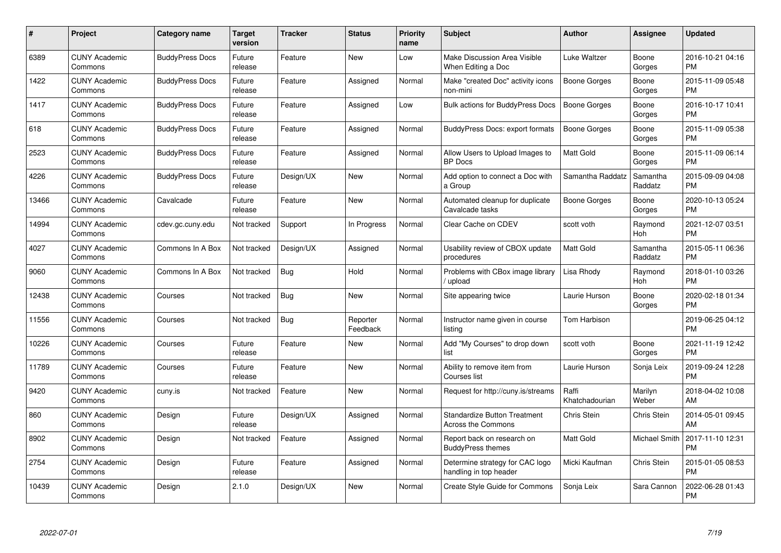| #     | Project                         | <b>Category name</b>   | Target<br>version | <b>Tracker</b> | <b>Status</b>        | Priority<br>name | <b>Subject</b>                                                   | <b>Author</b>           | <b>Assignee</b>     | <b>Updated</b>                |
|-------|---------------------------------|------------------------|-------------------|----------------|----------------------|------------------|------------------------------------------------------------------|-------------------------|---------------------|-------------------------------|
| 6389  | <b>CUNY Academic</b><br>Commons | <b>BuddyPress Docs</b> | Future<br>release | Feature        | <b>New</b>           | Low              | Make Discussion Area Visible<br>When Editing a Doc               | Luke Waltzer            | Boone<br>Gorges     | 2016-10-21 04:16<br><b>PM</b> |
| 1422  | <b>CUNY Academic</b><br>Commons | <b>BuddyPress Docs</b> | Future<br>release | Feature        | Assigned             | Normal           | Make "created Doc" activity icons<br>non-mini                    | Boone Gorges            | Boone<br>Gorges     | 2015-11-09 05:48<br><b>PM</b> |
| 1417  | <b>CUNY Academic</b><br>Commons | <b>BuddyPress Docs</b> | Future<br>release | Feature        | Assigned             | Low              | Bulk actions for BuddyPress Docs                                 | Boone Gorges            | Boone<br>Gorges     | 2016-10-17 10:41<br><b>PM</b> |
| 618   | <b>CUNY Academic</b><br>Commons | <b>BuddyPress Docs</b> | Future<br>release | Feature        | Assigned             | Normal           | BuddyPress Docs: export formats                                  | Boone Gorges            | Boone<br>Gorges     | 2015-11-09 05:38<br><b>PM</b> |
| 2523  | <b>CUNY Academic</b><br>Commons | <b>BuddyPress Docs</b> | Future<br>release | Feature        | Assigned             | Normal           | Allow Users to Upload Images to<br><b>BP</b> Docs                | Matt Gold               | Boone<br>Gorges     | 2015-11-09 06:14<br><b>PM</b> |
| 4226  | <b>CUNY Academic</b><br>Commons | <b>BuddyPress Docs</b> | Future<br>release | Design/UX      | New                  | Normal           | Add option to connect a Doc with<br>a Group                      | Samantha Raddatz        | Samantha<br>Raddatz | 2015-09-09 04:08<br><b>PM</b> |
| 13466 | <b>CUNY Academic</b><br>Commons | Cavalcade              | Future<br>release | Feature        | <b>New</b>           | Normal           | Automated cleanup for duplicate<br>Cavalcade tasks               | Boone Gorges            | Boone<br>Gorges     | 2020-10-13 05:24<br><b>PM</b> |
| 14994 | <b>CUNY Academic</b><br>Commons | cdev.gc.cuny.edu       | Not tracked       | Support        | In Progress          | Normal           | Clear Cache on CDEV                                              | scott voth              | Raymond<br>Hoh      | 2021-12-07 03:51<br><b>PM</b> |
| 4027  | <b>CUNY Academic</b><br>Commons | Commons In A Box       | Not tracked       | Design/UX      | Assigned             | Normal           | Usability review of CBOX update<br>procedures                    | <b>Matt Gold</b>        | Samantha<br>Raddatz | 2015-05-11 06:36<br><b>PM</b> |
| 9060  | <b>CUNY Academic</b><br>Commons | Commons In A Box       | Not tracked       | Bug            | Hold                 | Normal           | Problems with CBox image library<br>/ upload                     | Lisa Rhody              | Raymond<br>Hoh      | 2018-01-10 03:26<br>PM        |
| 12438 | <b>CUNY Academic</b><br>Commons | Courses                | Not tracked       | Bug            | New                  | Normal           | Site appearing twice                                             | Laurie Hurson           | Boone<br>Gorges     | 2020-02-18 01:34<br><b>PM</b> |
| 11556 | <b>CUNY Academic</b><br>Commons | Courses                | Not tracked       | <b>Bug</b>     | Reporter<br>Feedback | Normal           | Instructor name given in course<br>listing                       | Tom Harbison            |                     | 2019-06-25 04:12<br><b>PM</b> |
| 10226 | <b>CUNY Academic</b><br>Commons | Courses                | Future<br>release | Feature        | New                  | Normal           | Add "My Courses" to drop down<br>list                            | scott voth              | Boone<br>Gorges     | 2021-11-19 12:42<br>PM.       |
| 11789 | <b>CUNY Academic</b><br>Commons | Courses                | Future<br>release | Feature        | New                  | Normal           | Ability to remove item from<br>Courses list                      | Laurie Hurson           | Sonja Leix          | 2019-09-24 12:28<br><b>PM</b> |
| 9420  | <b>CUNY Academic</b><br>Commons | cuny.is                | Not tracked       | Feature        | New                  | Normal           | Request for http://cuny.is/streams                               | Raffi<br>Khatchadourian | Marilyn<br>Weber    | 2018-04-02 10:08<br>AM        |
| 860   | <b>CUNY Academic</b><br>Commons | Design                 | Future<br>release | Design/UX      | Assigned             | Normal           | <b>Standardize Button Treatment</b><br><b>Across the Commons</b> | Chris Stein             | Chris Stein         | 2014-05-01 09:45<br>AM        |
| 8902  | <b>CUNY Academic</b><br>Commons | Design                 | Not tracked       | Feature        | Assigned             | Normal           | Report back on research on<br><b>BuddyPress themes</b>           | Matt Gold               | Michael Smith       | 2017-11-10 12:31<br><b>PM</b> |
| 2754  | <b>CUNY Academic</b><br>Commons | Design                 | Future<br>release | Feature        | Assigned             | Normal           | Determine strategy for CAC logo<br>handling in top header        | Micki Kaufman           | Chris Stein         | 2015-01-05 08:53<br><b>PM</b> |
| 10439 | <b>CUNY Academic</b><br>Commons | Design                 | 2.1.0             | Design/UX      | <b>New</b>           | Normal           | Create Style Guide for Commons                                   | Sonja Leix              | Sara Cannon         | 2022-06-28 01:43<br>PM        |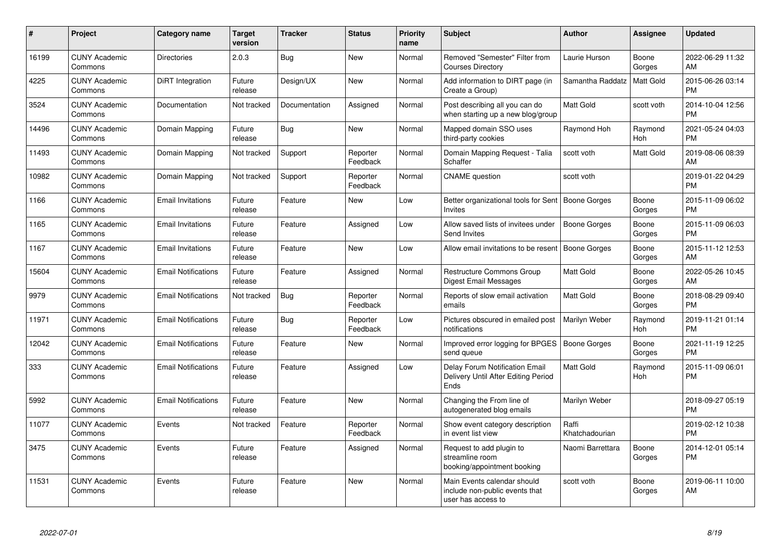| $\#$  | Project                         | <b>Category name</b>       | <b>Target</b><br>version | <b>Tracker</b> | <b>Status</b>        | <b>Priority</b><br>name | <b>Subject</b>                                                                      | <b>Author</b>           | Assignee        | <b>Updated</b>                |
|-------|---------------------------------|----------------------------|--------------------------|----------------|----------------------|-------------------------|-------------------------------------------------------------------------------------|-------------------------|-----------------|-------------------------------|
| 16199 | <b>CUNY Academic</b><br>Commons | <b>Directories</b>         | 2.0.3                    | Bug            | <b>New</b>           | Normal                  | Removed "Semester" Filter from<br><b>Courses Directory</b>                          | Laurie Hurson           | Boone<br>Gorges | 2022-06-29 11:32<br>AM        |
| 4225  | <b>CUNY Academic</b><br>Commons | <b>DiRT</b> Integration    | Future<br>release        | Design/UX      | <b>New</b>           | Normal                  | Add information to DIRT page (in<br>Create a Group)                                 | Samantha Raddatz        | Matt Gold       | 2015-06-26 03:14<br><b>PM</b> |
| 3524  | <b>CUNY Academic</b><br>Commons | Documentation              | Not tracked              | Documentation  | Assigned             | Normal                  | Post describing all you can do<br>when starting up a new blog/group                 | <b>Matt Gold</b>        | scott voth      | 2014-10-04 12:56<br><b>PM</b> |
| 14496 | <b>CUNY Academic</b><br>Commons | Domain Mapping             | Future<br>release        | Bug            | <b>New</b>           | Normal                  | Mapped domain SSO uses<br>third-party cookies                                       | Raymond Hoh             | Raymond<br>Hoh  | 2021-05-24 04:03<br><b>PM</b> |
| 11493 | <b>CUNY Academic</b><br>Commons | Domain Mapping             | Not tracked              | Support        | Reporter<br>Feedback | Normal                  | Domain Mapping Request - Talia<br>Schaffer                                          | scott voth              | Matt Gold       | 2019-08-06 08:39<br>AM        |
| 10982 | <b>CUNY Academic</b><br>Commons | Domain Mapping             | Not tracked              | Support        | Reporter<br>Feedback | Normal                  | <b>CNAME</b> question                                                               | scott voth              |                 | 2019-01-22 04:29<br><b>PM</b> |
| 1166  | <b>CUNY Academic</b><br>Commons | <b>Email Invitations</b>   | Future<br>release        | Feature        | New                  | Low                     | Better organizational tools for Sent   Boone Gorges<br><b>Invites</b>               |                         | Boone<br>Gorges | 2015-11-09 06:02<br><b>PM</b> |
| 1165  | <b>CUNY Academic</b><br>Commons | <b>Email Invitations</b>   | Future<br>release        | Feature        | Assigned             | Low                     | Allow saved lists of invitees under<br>Send Invites                                 | <b>Boone Gorges</b>     | Boone<br>Gorges | 2015-11-09 06:03<br><b>PM</b> |
| 1167  | <b>CUNY Academic</b><br>Commons | <b>Email Invitations</b>   | Future<br>release        | Feature        | <b>New</b>           | Low                     | Allow email invitations to be resent                                                | Boone Gorges            | Boone<br>Gorges | 2015-11-12 12:53<br>AM        |
| 15604 | <b>CUNY Academic</b><br>Commons | <b>Email Notifications</b> | Future<br>release        | Feature        | Assigned             | Normal                  | Restructure Commons Group<br><b>Digest Email Messages</b>                           | Matt Gold               | Boone<br>Gorges | 2022-05-26 10:45<br>AM        |
| 9979  | <b>CUNY Academic</b><br>Commons | <b>Email Notifications</b> | Not tracked              | Bug            | Reporter<br>Feedback | Normal                  | Reports of slow email activation<br>emails                                          | Matt Gold               | Boone<br>Gorges | 2018-08-29 09:40<br><b>PM</b> |
| 11971 | <b>CUNY Academic</b><br>Commons | <b>Email Notifications</b> | Future<br>release        | Bug            | Reporter<br>Feedback | Low                     | Pictures obscured in emailed post<br>notifications                                  | Marilyn Weber           | Raymond<br>Hoh  | 2019-11-21 01:14<br><b>PM</b> |
| 12042 | <b>CUNY Academic</b><br>Commons | <b>Email Notifications</b> | Future<br>release        | Feature        | <b>New</b>           | Normal                  | Improved error logging for BPGES<br>send queue                                      | <b>Boone Gorges</b>     | Boone<br>Gorges | 2021-11-19 12:25<br><b>PM</b> |
| 333   | <b>CUNY Academic</b><br>Commons | <b>Email Notifications</b> | Future<br>release        | Feature        | Assigned             | Low                     | Delay Forum Notification Email<br>Delivery Until After Editing Period<br>Ends       | <b>Matt Gold</b>        | Raymond<br>Hoh  | 2015-11-09 06:01<br><b>PM</b> |
| 5992  | <b>CUNY Academic</b><br>Commons | <b>Email Notifications</b> | Future<br>release        | Feature        | <b>New</b>           | Normal                  | Changing the From line of<br>autogenerated blog emails                              | Marilyn Weber           |                 | 2018-09-27 05:19<br><b>PM</b> |
| 11077 | <b>CUNY Academic</b><br>Commons | Events                     | Not tracked              | Feature        | Reporter<br>Feedback | Normal                  | Show event category description<br>in event list view                               | Raffi<br>Khatchadourian |                 | 2019-02-12 10:38<br><b>PM</b> |
| 3475  | <b>CUNY Academic</b><br>Commons | Events                     | Future<br>release        | Feature        | Assigned             | Normal                  | Request to add plugin to<br>streamline room<br>booking/appointment booking          | Naomi Barrettara        | Boone<br>Gorges | 2014-12-01 05:14<br><b>PM</b> |
| 11531 | <b>CUNY Academic</b><br>Commons | Events                     | Future<br>release        | Feature        | <b>New</b>           | Normal                  | Main Events calendar should<br>include non-public events that<br>user has access to | scott voth              | Boone<br>Gorges | 2019-06-11 10:00<br>AM        |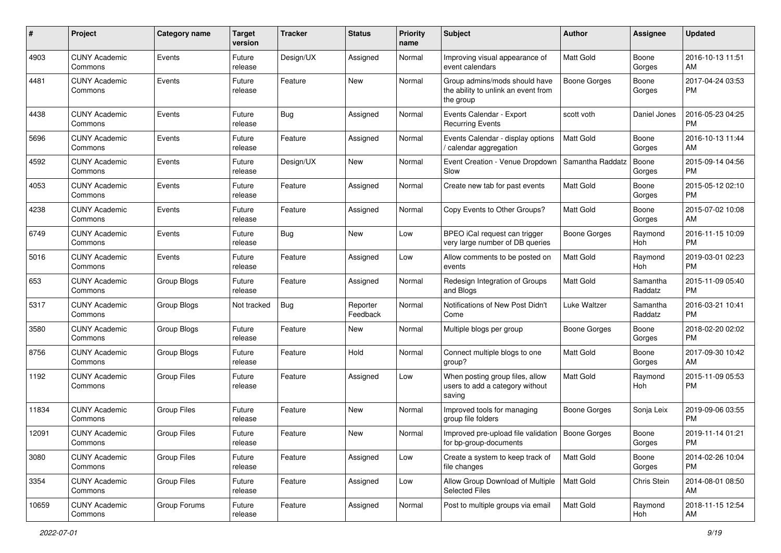| #     | Project                         | <b>Category name</b> | <b>Target</b><br>version | Tracker   | <b>Status</b>        | <b>Priority</b><br>name | Subject                                                                           | Author              | <b>Assignee</b>     | <b>Updated</b>                |
|-------|---------------------------------|----------------------|--------------------------|-----------|----------------------|-------------------------|-----------------------------------------------------------------------------------|---------------------|---------------------|-------------------------------|
| 4903  | <b>CUNY Academic</b><br>Commons | Events               | Future<br>release        | Design/UX | Assigned             | Normal                  | Improving visual appearance of<br>event calendars                                 | <b>Matt Gold</b>    | Boone<br>Gorges     | 2016-10-13 11:51<br>AM        |
| 4481  | <b>CUNY Academic</b><br>Commons | Events               | Future<br>release        | Feature   | New                  | Normal                  | Group admins/mods should have<br>the ability to unlink an event from<br>the group | <b>Boone Gorges</b> | Boone<br>Gorges     | 2017-04-24 03:53<br><b>PM</b> |
| 4438  | <b>CUNY Academic</b><br>Commons | Events               | Future<br>release        | Bug       | Assigned             | Normal                  | Events Calendar - Export<br><b>Recurring Events</b>                               | scott voth          | Daniel Jones        | 2016-05-23 04:25<br><b>PM</b> |
| 5696  | <b>CUNY Academic</b><br>Commons | Events               | Future<br>release        | Feature   | Assigned             | Normal                  | Events Calendar - display options<br>/ calendar aggregation                       | Matt Gold           | Boone<br>Gorges     | 2016-10-13 11:44<br>AM        |
| 4592  | <b>CUNY Academic</b><br>Commons | Events               | Future<br>release        | Design/UX | New                  | Normal                  | Event Creation - Venue Dropdown<br>Slow                                           | Samantha Raddatz    | Boone<br>Gorges     | 2015-09-14 04:56<br>PM.       |
| 4053  | <b>CUNY Academic</b><br>Commons | Events               | Future<br>release        | Feature   | Assigned             | Normal                  | Create new tab for past events                                                    | Matt Gold           | Boone<br>Gorges     | 2015-05-12 02:10<br><b>PM</b> |
| 4238  | <b>CUNY Academic</b><br>Commons | Events               | Future<br>release        | Feature   | Assigned             | Normal                  | Copy Events to Other Groups?                                                      | <b>Matt Gold</b>    | Boone<br>Gorges     | 2015-07-02 10:08<br>AM.       |
| 6749  | <b>CUNY Academic</b><br>Commons | Events               | Future<br>release        | Bug       | New                  | Low                     | BPEO iCal request can trigger<br>very large number of DB queries                  | <b>Boone Gorges</b> | Raymond<br>Hoh      | 2016-11-15 10:09<br><b>PM</b> |
| 5016  | <b>CUNY Academic</b><br>Commons | Events               | Future<br>release        | Feature   | Assigned             | Low                     | Allow comments to be posted on<br>events                                          | <b>Matt Gold</b>    | Raymond<br>Hoh      | 2019-03-01 02:23<br>PM.       |
| 653   | <b>CUNY Academic</b><br>Commons | Group Blogs          | Future<br>release        | Feature   | Assigned             | Normal                  | Redesign Integration of Groups<br>and Blogs                                       | <b>Matt Gold</b>    | Samantha<br>Raddatz | 2015-11-09 05:40<br><b>PM</b> |
| 5317  | <b>CUNY Academic</b><br>Commons | Group Blogs          | Not tracked              | Bug       | Reporter<br>Feedback | Normal                  | Notifications of New Post Didn't<br>Come                                          | Luke Waltzer        | Samantha<br>Raddatz | 2016-03-21 10:41<br><b>PM</b> |
| 3580  | <b>CUNY Academic</b><br>Commons | Group Blogs          | Future<br>release        | Feature   | New                  | Normal                  | Multiple blogs per group                                                          | Boone Gorges        | Boone<br>Gorges     | 2018-02-20 02:02<br>PM.       |
| 8756  | <b>CUNY Academic</b><br>Commons | Group Blogs          | Future<br>release        | Feature   | Hold                 | Normal                  | Connect multiple blogs to one<br>group?                                           | <b>Matt Gold</b>    | Boone<br>Gorges     | 2017-09-30 10:42<br>AM        |
| 1192  | <b>CUNY Academic</b><br>Commons | <b>Group Files</b>   | Future<br>release        | Feature   | Assigned             | Low                     | When posting group files, allow<br>users to add a category without<br>saving      | <b>Matt Gold</b>    | Raymond<br>Hoh      | 2015-11-09 05:53<br><b>PM</b> |
| 11834 | <b>CUNY Academic</b><br>Commons | <b>Group Files</b>   | Future<br>release        | Feature   | New                  | Normal                  | Improved tools for managing<br>group file folders                                 | Boone Gorges        | Sonja Leix          | 2019-09-06 03:55<br><b>PM</b> |
| 12091 | <b>CUNY Academic</b><br>Commons | <b>Group Files</b>   | Future<br>release        | Feature   | New                  | Normal                  | Improved pre-upload file validation   Boone Gorges<br>for bp-group-documents      |                     | Boone<br>Gorges     | 2019-11-14 01:21<br><b>PM</b> |
| 3080  | <b>CUNY Academic</b><br>Commons | Group Files          | Future<br>release        | Feature   | Assigned             | Low                     | Create a system to keep track of<br>file changes                                  | Matt Gold           | Boone<br>Gorges     | 2014-02-26 10:04<br>PM.       |
| 3354  | <b>CUNY Academic</b><br>Commons | Group Files          | Future<br>release        | Feature   | Assigned             | Low                     | Allow Group Download of Multiple<br><b>Selected Files</b>                         | Matt Gold           | Chris Stein         | 2014-08-01 08:50<br>AM        |
| 10659 | <b>CUNY Academic</b><br>Commons | Group Forums         | Future<br>release        | Feature   | Assigned             | Normal                  | Post to multiple groups via email                                                 | Matt Gold           | Raymond<br>Hoh      | 2018-11-15 12:54<br>AM        |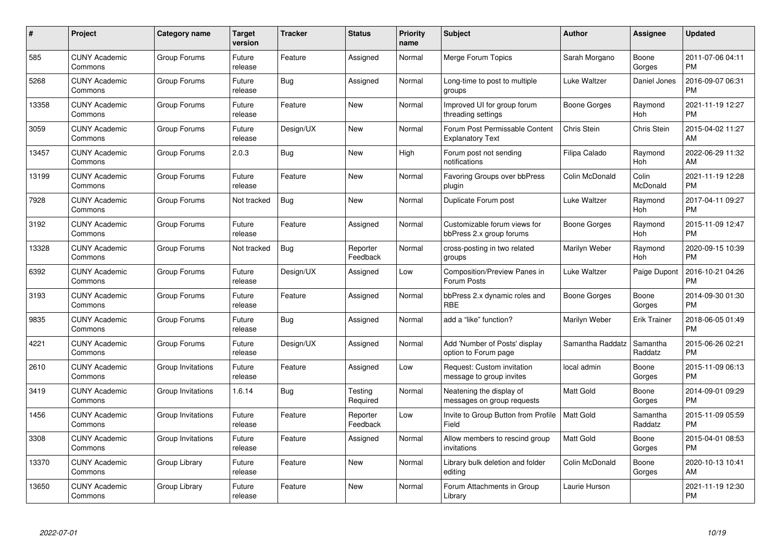| #     | Project                         | <b>Category name</b> | Target<br>version | <b>Tracker</b> | <b>Status</b>        | <b>Priority</b><br>name | <b>Subject</b>                                            | <b>Author</b>    | Assignee              | <b>Updated</b>                |
|-------|---------------------------------|----------------------|-------------------|----------------|----------------------|-------------------------|-----------------------------------------------------------|------------------|-----------------------|-------------------------------|
| 585   | <b>CUNY Academic</b><br>Commons | Group Forums         | Future<br>release | Feature        | Assigned             | Normal                  | Merge Forum Topics                                        | Sarah Morgano    | Boone<br>Gorges       | 2011-07-06 04:11<br><b>PM</b> |
| 5268  | <b>CUNY Academic</b><br>Commons | Group Forums         | Future<br>release | Bug            | Assigned             | Normal                  | Long-time to post to multiple<br>groups                   | Luke Waltzer     | Daniel Jones          | 2016-09-07 06:31<br><b>PM</b> |
| 13358 | <b>CUNY Academic</b><br>Commons | Group Forums         | Future<br>release | Feature        | New                  | Normal                  | Improved UI for group forum<br>threading settings         | Boone Gorges     | Raymond<br><b>Hoh</b> | 2021-11-19 12:27<br><b>PM</b> |
| 3059  | <b>CUNY Academic</b><br>Commons | Group Forums         | Future<br>release | Design/UX      | <b>New</b>           | Normal                  | Forum Post Permissable Content<br><b>Explanatory Text</b> | Chris Stein      | Chris Stein           | 2015-04-02 11:27<br>AM        |
| 13457 | <b>CUNY Academic</b><br>Commons | Group Forums         | 2.0.3             | Bug            | <b>New</b>           | High                    | Forum post not sending<br>notifications                   | Filipa Calado    | Raymond<br>Hoh        | 2022-06-29 11:32<br>AM        |
| 13199 | <b>CUNY Academic</b><br>Commons | Group Forums         | Future<br>release | Feature        | New                  | Normal                  | Favoring Groups over bbPress<br>plugin                    | Colin McDonald   | Colin<br>McDonald     | 2021-11-19 12:28<br><b>PM</b> |
| 7928  | <b>CUNY Academic</b><br>Commons | Group Forums         | Not tracked       | <b>Bug</b>     | <b>New</b>           | Normal                  | Duplicate Forum post                                      | Luke Waltzer     | Raymond<br>Hoh        | 2017-04-11 09:27<br><b>PM</b> |
| 3192  | <b>CUNY Academic</b><br>Commons | Group Forums         | Future<br>release | Feature        | Assigned             | Normal                  | Customizable forum views for<br>bbPress 2.x group forums  | Boone Gorges     | Raymond<br>Hoh        | 2015-11-09 12:47<br><b>PM</b> |
| 13328 | <b>CUNY Academic</b><br>Commons | Group Forums         | Not tracked       | <b>Bug</b>     | Reporter<br>Feedback | Normal                  | cross-posting in two related<br>groups                    | Marilyn Weber    | Raymond<br>Hoh        | 2020-09-15 10:39<br><b>PM</b> |
| 6392  | <b>CUNY Academic</b><br>Commons | Group Forums         | Future<br>release | Design/UX      | Assigned             | Low                     | <b>Composition/Preview Panes in</b><br>Forum Posts        | Luke Waltzer     | Paige Dupont          | 2016-10-21 04:26<br><b>PM</b> |
| 3193  | <b>CUNY Academic</b><br>Commons | Group Forums         | Future<br>release | Feature        | Assigned             | Normal                  | bbPress 2.x dynamic roles and<br><b>RBE</b>               | Boone Gorges     | Boone<br>Gorges       | 2014-09-30 01:30<br><b>PM</b> |
| 9835  | <b>CUNY Academic</b><br>Commons | Group Forums         | Future<br>release | Bug            | Assigned             | Normal                  | add a "like" function?                                    | Marilyn Weber    | <b>Erik Trainer</b>   | 2018-06-05 01:49<br><b>PM</b> |
| 4221  | <b>CUNY Academic</b><br>Commons | Group Forums         | Future<br>release | Design/UX      | Assigned             | Normal                  | Add 'Number of Posts' display<br>option to Forum page     | Samantha Raddatz | Samantha<br>Raddatz   | 2015-06-26 02:21<br>PM        |
| 2610  | <b>CUNY Academic</b><br>Commons | Group Invitations    | Future<br>release | Feature        | Assigned             | Low                     | Request: Custom invitation<br>message to group invites    | local admin      | Boone<br>Gorges       | 2015-11-09 06:13<br><b>PM</b> |
| 3419  | <b>CUNY Academic</b><br>Commons | Group Invitations    | 1.6.14            | Bug            | Testing<br>Required  | Normal                  | Neatening the display of<br>messages on group requests    | Matt Gold        | Boone<br>Gorges       | 2014-09-01 09:29<br><b>PM</b> |
| 1456  | <b>CUNY Academic</b><br>Commons | Group Invitations    | Future<br>release | Feature        | Reporter<br>Feedback | Low                     | Invite to Group Button from Profile<br>Field              | Matt Gold        | Samantha<br>Raddatz   | 2015-11-09 05:59<br><b>PM</b> |
| 3308  | <b>CUNY Academic</b><br>Commons | Group Invitations    | Future<br>release | Feature        | Assigned             | Normal                  | Allow members to rescind group<br>invitations             | <b>Matt Gold</b> | Boone<br>Gorges       | 2015-04-01 08:53<br><b>PM</b> |
| 13370 | <b>CUNY Academic</b><br>Commons | Group Library        | Future<br>release | Feature        | <b>New</b>           | Normal                  | Library bulk deletion and folder<br>editing               | Colin McDonald   | Boone<br>Gorges       | 2020-10-13 10:41<br>AM        |
| 13650 | <b>CUNY Academic</b><br>Commons | Group Library        | Future<br>release | Feature        | <b>New</b>           | Normal                  | Forum Attachments in Group<br>Library                     | Laurie Hurson    |                       | 2021-11-19 12:30<br>PM        |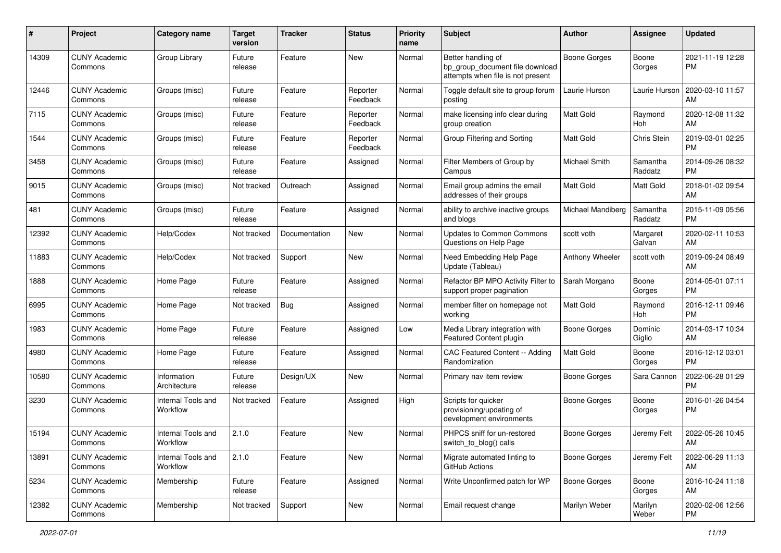| #     | Project                         | <b>Category name</b>           | <b>Target</b><br>version | <b>Tracker</b> | <b>Status</b>        | <b>Priority</b><br>name | <b>Subject</b>                                                                             | Author              | <b>Assignee</b>     | <b>Updated</b>                |
|-------|---------------------------------|--------------------------------|--------------------------|----------------|----------------------|-------------------------|--------------------------------------------------------------------------------------------|---------------------|---------------------|-------------------------------|
| 14309 | <b>CUNY Academic</b><br>Commons | Group Library                  | Future<br>release        | Feature        | <b>New</b>           | Normal                  | Better handling of<br>bp_group_document file download<br>attempts when file is not present | <b>Boone Gorges</b> | Boone<br>Gorges     | 2021-11-19 12:28<br><b>PM</b> |
| 12446 | <b>CUNY Academic</b><br>Commons | Groups (misc)                  | Future<br>release        | Feature        | Reporter<br>Feedback | Normal                  | Toggle default site to group forum<br>posting                                              | Laurie Hurson       | Laurie Hurson       | 2020-03-10 11:57<br>AM        |
| 7115  | <b>CUNY Academic</b><br>Commons | Groups (misc)                  | Future<br>release        | Feature        | Reporter<br>Feedback | Normal                  | make licensing info clear during<br>group creation                                         | <b>Matt Gold</b>    | Raymond<br>Hoh      | 2020-12-08 11:32<br>AM        |
| 1544  | <b>CUNY Academic</b><br>Commons | Groups (misc)                  | Future<br>release        | Feature        | Reporter<br>Feedback | Normal                  | Group Filtering and Sorting                                                                | <b>Matt Gold</b>    | Chris Stein         | 2019-03-01 02:25<br><b>PM</b> |
| 3458  | <b>CUNY Academic</b><br>Commons | Groups (misc)                  | Future<br>release        | Feature        | Assigned             | Normal                  | Filter Members of Group by<br>Campus                                                       | Michael Smith       | Samantha<br>Raddatz | 2014-09-26 08:32<br><b>PM</b> |
| 9015  | <b>CUNY Academic</b><br>Commons | Groups (misc)                  | Not tracked              | Outreach       | Assigned             | Normal                  | Email group admins the email<br>addresses of their groups                                  | Matt Gold           | Matt Gold           | 2018-01-02 09:54<br>AM        |
| 481   | <b>CUNY Academic</b><br>Commons | Groups (misc)                  | Future<br>release        | Feature        | Assigned             | Normal                  | ability to archive inactive groups<br>and blogs                                            | Michael Mandiberg   | Samantha<br>Raddatz | 2015-11-09 05:56<br><b>PM</b> |
| 12392 | <b>CUNY Academic</b><br>Commons | Help/Codex                     | Not tracked              | Documentation  | New                  | Normal                  | <b>Updates to Common Commons</b><br>Questions on Help Page                                 | scott voth          | Margaret<br>Galvan  | 2020-02-11 10:53<br>AM        |
| 11883 | <b>CUNY Academic</b><br>Commons | Help/Codex                     | Not tracked              | Support        | <b>New</b>           | Normal                  | Need Embedding Help Page<br>Update (Tableau)                                               | Anthony Wheeler     | scott voth          | 2019-09-24 08:49<br>AM        |
| 1888  | <b>CUNY Academic</b><br>Commons | Home Page                      | Future<br>release        | Feature        | Assigned             | Normal                  | Refactor BP MPO Activity Filter to<br>support proper pagination                            | Sarah Morgano       | Boone<br>Gorges     | 2014-05-01 07:11<br><b>PM</b> |
| 6995  | <b>CUNY Academic</b><br>Commons | Home Page                      | Not tracked              | Bug            | Assigned             | Normal                  | member filter on homepage not<br>working                                                   | Matt Gold           | Raymond<br>Hoh      | 2016-12-11 09:46<br><b>PM</b> |
| 1983  | <b>CUNY Academic</b><br>Commons | Home Page                      | Future<br>release        | Feature        | Assigned             | Low                     | Media Library integration with<br>Featured Content plugin                                  | Boone Gorges        | Dominic<br>Giglio   | 2014-03-17 10:34<br>AM        |
| 4980  | <b>CUNY Academic</b><br>Commons | Home Page                      | Future<br>release        | Feature        | Assigned             | Normal                  | CAC Featured Content -- Adding<br>Randomization                                            | <b>Matt Gold</b>    | Boone<br>Gorges     | 2016-12-12 03:01<br><b>PM</b> |
| 10580 | <b>CUNY Academic</b><br>Commons | Information<br>Architecture    | Future<br>release        | Design/UX      | New                  | Normal                  | Primary nav item review                                                                    | <b>Boone Gorges</b> | Sara Cannon         | 2022-06-28 01:29<br><b>PM</b> |
| 3230  | <b>CUNY Academic</b><br>Commons | Internal Tools and<br>Workflow | Not tracked              | Feature        | Assigned             | High                    | Scripts for quicker<br>provisioning/updating of<br>development environments                | Boone Gorges        | Boone<br>Gorges     | 2016-01-26 04:54<br><b>PM</b> |
| 15194 | <b>CUNY Academic</b><br>Commons | Internal Tools and<br>Workflow | 2.1.0                    | Feature        | New                  | Normal                  | PHPCS sniff for un-restored<br>switch_to_blog() calls                                      | <b>Boone Gorges</b> | Jeremy Felt         | 2022-05-26 10:45<br>AM        |
| 13891 | <b>CUNY Academic</b><br>Commons | Internal Tools and<br>Workflow | 2.1.0                    | Feature        | New                  | Normal                  | Migrate automated linting to<br>GitHub Actions                                             | Boone Gorges        | Jeremy Felt         | 2022-06-29 11:13<br>AM        |
| 5234  | <b>CUNY Academic</b><br>Commons | Membership                     | Future<br>release        | Feature        | Assigned             | Normal                  | Write Unconfirmed patch for WP                                                             | <b>Boone Gorges</b> | Boone<br>Gorges     | 2016-10-24 11:18<br>AM        |
| 12382 | <b>CUNY Academic</b><br>Commons | Membership                     | Not tracked              | Support        | New                  | Normal                  | Email request change                                                                       | Marilyn Weber       | Marilyn<br>Weber    | 2020-02-06 12:56<br><b>PM</b> |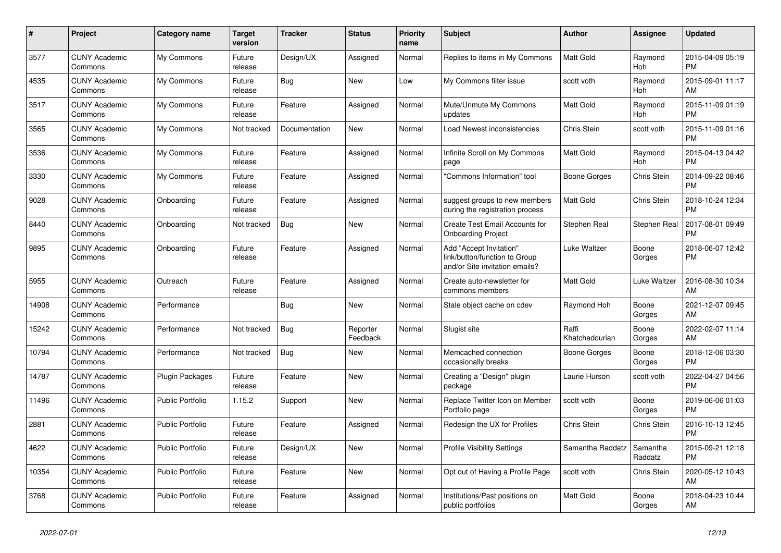| $\#$  | Project                         | <b>Category name</b>    | <b>Target</b><br>version | <b>Tracker</b> | <b>Status</b>        | <b>Priority</b><br>name | <b>Subject</b>                                                                             | <b>Author</b>           | <b>Assignee</b>     | <b>Updated</b>                |
|-------|---------------------------------|-------------------------|--------------------------|----------------|----------------------|-------------------------|--------------------------------------------------------------------------------------------|-------------------------|---------------------|-------------------------------|
| 3577  | <b>CUNY Academic</b><br>Commons | My Commons              | Future<br>release        | Design/UX      | Assigned             | Normal                  | Replies to items in My Commons                                                             | Matt Gold               | Raymond<br>Hoh      | 2015-04-09 05:19<br><b>PM</b> |
| 4535  | <b>CUNY Academic</b><br>Commons | My Commons              | Future<br>release        | Bug            | <b>New</b>           | Low                     | My Commons filter issue                                                                    | scott voth              | Raymond<br>Hoh      | 2015-09-01 11:17<br>AM        |
| 3517  | <b>CUNY Academic</b><br>Commons | My Commons              | Future<br>release        | Feature        | Assigned             | Normal                  | Mute/Unmute My Commons<br>updates                                                          | <b>Matt Gold</b>        | Raymond<br>Hoh      | 2015-11-09 01:19<br><b>PM</b> |
| 3565  | <b>CUNY Academic</b><br>Commons | My Commons              | Not tracked              | Documentation  | <b>New</b>           | Normal                  | Load Newest inconsistencies                                                                | Chris Stein             | scott voth          | 2015-11-09 01:16<br><b>PM</b> |
| 3536  | <b>CUNY Academic</b><br>Commons | My Commons              | Future<br>release        | Feature        | Assigned             | Normal                  | Infinite Scroll on My Commons<br>page                                                      | Matt Gold               | Raymond<br>Hoh      | 2015-04-13 04:42<br><b>PM</b> |
| 3330  | <b>CUNY Academic</b><br>Commons | My Commons              | Future<br>release        | Feature        | Assigned             | Normal                  | "Commons Information" tool                                                                 | Boone Gorges            | Chris Stein         | 2014-09-22 08:46<br><b>PM</b> |
| 9028  | <b>CUNY Academic</b><br>Commons | Onboarding              | Future<br>release        | Feature        | Assigned             | Normal                  | suggest groups to new members<br>during the registration process                           | <b>Matt Gold</b>        | Chris Stein         | 2018-10-24 12:34<br><b>PM</b> |
| 8440  | <b>CUNY Academic</b><br>Commons | Onboarding              | Not tracked              | Bug            | New                  | Normal                  | Create Test Email Accounts for<br><b>Onboarding Project</b>                                | Stephen Real            | Stephen Real        | 2017-08-01 09:49<br><b>PM</b> |
| 9895  | <b>CUNY Academic</b><br>Commons | Onboarding              | Future<br>release        | Feature        | Assigned             | Normal                  | Add "Accept Invitation"<br>link/button/function to Group<br>and/or Site invitation emails? | Luke Waltzer            | Boone<br>Gorges     | 2018-06-07 12:42<br><b>PM</b> |
| 5955  | <b>CUNY Academic</b><br>Commons | Outreach                | Future<br>release        | Feature        | Assigned             | Normal                  | Create auto-newsletter for<br>commons members                                              | <b>Matt Gold</b>        | Luke Waltzer        | 2016-08-30 10:34<br>AM        |
| 14908 | <b>CUNY Academic</b><br>Commons | Performance             |                          | Bug            | New                  | Normal                  | Stale object cache on cdev                                                                 | Raymond Hoh             | Boone<br>Gorges     | 2021-12-07 09:45<br>AM        |
| 15242 | <b>CUNY Academic</b><br>Commons | Performance             | Not tracked              | <b>Bug</b>     | Reporter<br>Feedback | Normal                  | Slugist site                                                                               | Raffi<br>Khatchadourian | Boone<br>Gorges     | 2022-02-07 11:14<br>AM        |
| 10794 | <b>CUNY Academic</b><br>Commons | Performance             | Not tracked              | Bug            | <b>New</b>           | Normal                  | Memcached connection<br>occasionally breaks                                                | Boone Gorges            | Boone<br>Gorges     | 2018-12-06 03:30<br><b>PM</b> |
| 14787 | <b>CUNY Academic</b><br>Commons | <b>Plugin Packages</b>  | Future<br>release        | Feature        | <b>New</b>           | Normal                  | Creating a "Design" plugin<br>package                                                      | Laurie Hurson           | scott voth          | 2022-04-27 04:56<br><b>PM</b> |
| 11496 | <b>CUNY Academic</b><br>Commons | Public Portfolio        | 1.15.2                   | Support        | New                  | Normal                  | Replace Twitter Icon on Member<br>Portfolio page                                           | scott voth              | Boone<br>Gorges     | 2019-06-06 01:03<br><b>PM</b> |
| 2881  | <b>CUNY Academic</b><br>Commons | <b>Public Portfolio</b> | Future<br>release        | Feature        | Assigned             | Normal                  | Redesign the UX for Profiles                                                               | Chris Stein             | <b>Chris Stein</b>  | 2016-10-13 12:45<br><b>PM</b> |
| 4622  | <b>CUNY Academic</b><br>Commons | <b>Public Portfolio</b> | Future<br>release        | Design/UX      | New                  | Normal                  | <b>Profile Visibility Settings</b>                                                         | Samantha Raddatz        | Samantha<br>Raddatz | 2015-09-21 12:18<br><b>PM</b> |
| 10354 | <b>CUNY Academic</b><br>Commons | <b>Public Portfolio</b> | Future<br>release        | Feature        | New                  | Normal                  | Opt out of Having a Profile Page                                                           | scott voth              | Chris Stein         | 2020-05-12 10:43<br>AM        |
| 3768  | <b>CUNY Academic</b><br>Commons | <b>Public Portfolio</b> | Future<br>release        | Feature        | Assigned             | Normal                  | Institutions/Past positions on<br>public portfolios                                        | <b>Matt Gold</b>        | Boone<br>Gorges     | 2018-04-23 10:44<br>AM        |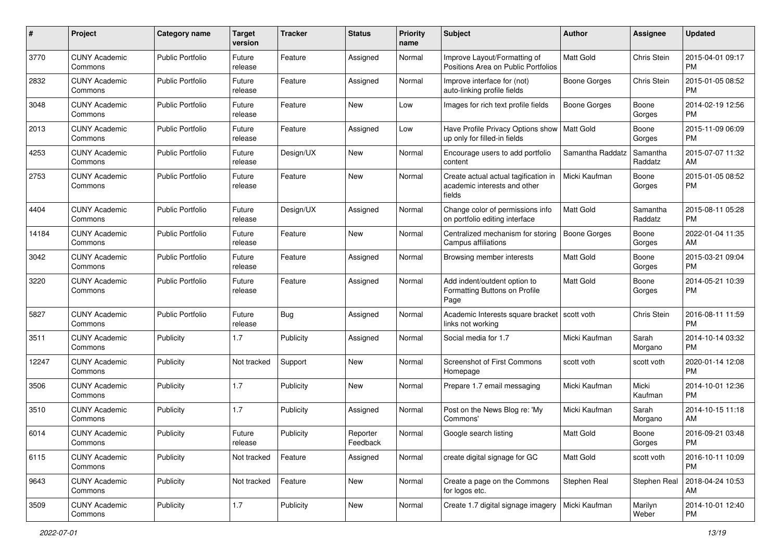| #     | Project                         | <b>Category name</b>    | <b>Target</b><br>version | <b>Tracker</b> | <b>Status</b>        | <b>Priority</b><br>name | Subject                                                                        | Author              | <b>Assignee</b>     | <b>Updated</b>                |
|-------|---------------------------------|-------------------------|--------------------------|----------------|----------------------|-------------------------|--------------------------------------------------------------------------------|---------------------|---------------------|-------------------------------|
| 3770  | <b>CUNY Academic</b><br>Commons | <b>Public Portfolio</b> | Future<br>release        | Feature        | Assigned             | Normal                  | Improve Layout/Formatting of<br>Positions Area on Public Portfolios            | <b>Matt Gold</b>    | Chris Stein         | 2015-04-01 09:17<br><b>PM</b> |
| 2832  | <b>CUNY Academic</b><br>Commons | <b>Public Portfolio</b> | Future<br>release        | Feature        | Assigned             | Normal                  | Improve interface for (not)<br>auto-linking profile fields                     | <b>Boone Gorges</b> | Chris Stein         | 2015-01-05 08:52<br><b>PM</b> |
| 3048  | <b>CUNY Academic</b><br>Commons | <b>Public Portfolio</b> | Future<br>release        | Feature        | New                  | Low                     | Images for rich text profile fields                                            | Boone Gorges        | Boone<br>Gorges     | 2014-02-19 12:56<br><b>PM</b> |
| 2013  | <b>CUNY Academic</b><br>Commons | <b>Public Portfolio</b> | Future<br>release        | Feature        | Assigned             | Low                     | Have Profile Privacy Options show   Matt Gold<br>up only for filled-in fields  |                     | Boone<br>Gorges     | 2015-11-09 06:09<br><b>PM</b> |
| 4253  | <b>CUNY Academic</b><br>Commons | <b>Public Portfolio</b> | Future<br>release        | Design/UX      | New                  | Normal                  | Encourage users to add portfolio<br>content                                    | Samantha Raddatz    | Samantha<br>Raddatz | 2015-07-07 11:32<br>AM        |
| 2753  | <b>CUNY Academic</b><br>Commons | <b>Public Portfolio</b> | Future<br>release        | Feature        | <b>New</b>           | Normal                  | Create actual actual tagification in<br>academic interests and other<br>fields | Micki Kaufman       | Boone<br>Gorges     | 2015-01-05 08:52<br><b>PM</b> |
| 4404  | <b>CUNY Academic</b><br>Commons | <b>Public Portfolio</b> | Future<br>release        | Design/UX      | Assigned             | Normal                  | Change color of permissions info<br>on portfolio editing interface             | Matt Gold           | Samantha<br>Raddatz | 2015-08-11 05:28<br><b>PM</b> |
| 14184 | <b>CUNY Academic</b><br>Commons | <b>Public Portfolio</b> | Future<br>release        | Feature        | New                  | Normal                  | Centralized mechanism for storing<br>Campus affiliations                       | <b>Boone Gorges</b> | Boone<br>Gorges     | 2022-01-04 11:35<br>AM        |
| 3042  | <b>CUNY Academic</b><br>Commons | <b>Public Portfolio</b> | Future<br>release        | Feature        | Assigned             | Normal                  | Browsing member interests                                                      | <b>Matt Gold</b>    | Boone<br>Gorges     | 2015-03-21 09:04<br><b>PM</b> |
| 3220  | <b>CUNY Academic</b><br>Commons | <b>Public Portfolio</b> | Future<br>release        | Feature        | Assigned             | Normal                  | Add indent/outdent option to<br>Formatting Buttons on Profile<br>Page          | <b>Matt Gold</b>    | Boone<br>Gorges     | 2014-05-21 10:39<br><b>PM</b> |
| 5827  | <b>CUNY Academic</b><br>Commons | Public Portfolio        | Future<br>release        | Bug            | Assigned             | Normal                  | Academic Interests square bracket   scott voth<br>links not working            |                     | Chris Stein         | 2016-08-11 11:59<br><b>PM</b> |
| 3511  | <b>CUNY Academic</b><br>Commons | Publicity               | 1.7                      | Publicity      | Assigned             | Normal                  | Social media for 1.7                                                           | Micki Kaufman       | Sarah<br>Morgano    | 2014-10-14 03:32<br><b>PM</b> |
| 12247 | <b>CUNY Academic</b><br>Commons | Publicity               | Not tracked              | Support        | <b>New</b>           | Normal                  | Screenshot of First Commons<br>Homepage                                        | scott voth          | scott voth          | 2020-01-14 12:08<br><b>PM</b> |
| 3506  | <b>CUNY Academic</b><br>Commons | Publicity               | 1.7                      | Publicity      | <b>New</b>           | Normal                  | Prepare 1.7 email messaging                                                    | Micki Kaufman       | Micki<br>Kaufman    | 2014-10-01 12:36<br><b>PM</b> |
| 3510  | <b>CUNY Academic</b><br>Commons | Publicity               | 1.7                      | Publicity      | Assigned             | Normal                  | Post on the News Blog re: 'My<br>Commons'                                      | Micki Kaufman       | Sarah<br>Morgano    | 2014-10-15 11:18<br>AM        |
| 6014  | <b>CUNY Academic</b><br>Commons | Publicity               | Future<br>release        | Publicity      | Reporter<br>Feedback | Normal                  | Google search listing                                                          | <b>Matt Gold</b>    | Boone<br>Gorges     | 2016-09-21 03:48<br><b>PM</b> |
| 6115  | <b>CUNY Academic</b><br>Commons | Publicity               | Not tracked              | Feature        | Assigned             | Normal                  | create digital signage for GC                                                  | Matt Gold           | scott voth          | 2016-10-11 10:09<br><b>PM</b> |
| 9643  | <b>CUNY Academic</b><br>Commons | Publicity               | Not tracked              | Feature        | New                  | Normal                  | Create a page on the Commons<br>for logos etc.                                 | Stephen Real        | Stephen Real        | 2018-04-24 10:53<br>AM        |
| 3509  | <b>CUNY Academic</b><br>Commons | Publicity               | 1.7                      | Publicity      | New                  | Normal                  | Create 1.7 digital signage imagery                                             | Micki Kaufman       | Marilyn<br>Weber    | 2014-10-01 12:40<br><b>PM</b> |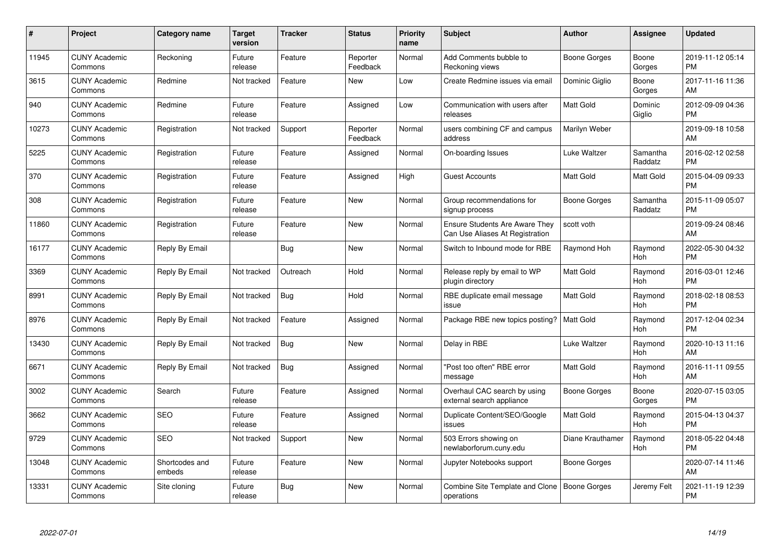| $\#$  | Project                         | <b>Category name</b>     | Target<br>version | <b>Tracker</b> | <b>Status</b>        | Priority<br>name | <b>Subject</b>                                                           | <b>Author</b>    | <b>Assignee</b>     | <b>Updated</b>                |
|-------|---------------------------------|--------------------------|-------------------|----------------|----------------------|------------------|--------------------------------------------------------------------------|------------------|---------------------|-------------------------------|
| 11945 | <b>CUNY Academic</b><br>Commons | Reckoning                | Future<br>release | Feature        | Reporter<br>Feedback | Normal           | Add Comments bubble to<br>Reckoning views                                | Boone Gorges     | Boone<br>Gorges     | 2019-11-12 05:14<br><b>PM</b> |
| 3615  | <b>CUNY Academic</b><br>Commons | Redmine                  | Not tracked       | Feature        | New                  | Low              | Create Redmine issues via email                                          | Dominic Giglio   | Boone<br>Gorges     | 2017-11-16 11:36<br>AM        |
| 940   | <b>CUNY Academic</b><br>Commons | Redmine                  | Future<br>release | Feature        | Assigned             | Low              | Communication with users after<br>releases                               | Matt Gold        | Dominic<br>Giglio   | 2012-09-09 04:36<br><b>PM</b> |
| 10273 | <b>CUNY Academic</b><br>Commons | Registration             | Not tracked       | Support        | Reporter<br>Feedback | Normal           | users combining CF and campus<br>address                                 | Marilyn Weber    |                     | 2019-09-18 10:58<br>AM        |
| 5225  | <b>CUNY Academic</b><br>Commons | Registration             | Future<br>release | Feature        | Assigned             | Normal           | On-boarding Issues                                                       | Luke Waltzer     | Samantha<br>Raddatz | 2016-02-12 02:58<br><b>PM</b> |
| 370   | <b>CUNY Academic</b><br>Commons | Registration             | Future<br>release | Feature        | Assigned             | High             | <b>Guest Accounts</b>                                                    | <b>Matt Gold</b> | Matt Gold           | 2015-04-09 09:33<br><b>PM</b> |
| 308   | <b>CUNY Academic</b><br>Commons | Registration             | Future<br>release | Feature        | <b>New</b>           | Normal           | Group recommendations for<br>signup process                              | Boone Gorges     | Samantha<br>Raddatz | 2015-11-09 05:07<br><b>PM</b> |
| 11860 | <b>CUNY Academic</b><br>Commons | Registration             | Future<br>release | Feature        | New                  | Normal           | <b>Ensure Students Are Aware They</b><br>Can Use Aliases At Registration | scott voth       |                     | 2019-09-24 08:46<br>AM        |
| 16177 | <b>CUNY Academic</b><br>Commons | Reply By Email           |                   | <b>Bug</b>     | New                  | Normal           | Switch to Inbound mode for RBE                                           | Raymond Hoh      | Raymond<br>Hoh      | 2022-05-30 04:32<br><b>PM</b> |
| 3369  | <b>CUNY Academic</b><br>Commons | Reply By Email           | Not tracked       | Outreach       | Hold                 | Normal           | Release reply by email to WP<br>plugin directory                         | <b>Matt Gold</b> | Raymond<br>Hoh      | 2016-03-01 12:46<br><b>PM</b> |
| 8991  | <b>CUNY Academic</b><br>Commons | Reply By Email           | Not tracked       | Bug            | Hold                 | Normal           | RBE duplicate email message<br>issue                                     | Matt Gold        | Raymond<br>Hoh      | 2018-02-18 08:53<br><b>PM</b> |
| 8976  | <b>CUNY Academic</b><br>Commons | Reply By Email           | Not tracked       | Feature        | Assigned             | Normal           | Package RBE new topics posting?                                          | <b>Matt Gold</b> | Raymond<br>Hoh      | 2017-12-04 02:34<br><b>PM</b> |
| 13430 | <b>CUNY Academic</b><br>Commons | Reply By Email           | Not tracked       | Bug            | New                  | Normal           | Delay in RBE                                                             | Luke Waltzer     | Raymond<br>Hoh      | 2020-10-13 11:16<br>AM        |
| 6671  | <b>CUNY Academic</b><br>Commons | Reply By Email           | Not tracked       | Bug            | Assigned             | Normal           | "Post too often" RBE error<br>message                                    | Matt Gold        | Raymond<br>Hoh      | 2016-11-11 09:55<br>AM        |
| 3002  | <b>CUNY Academic</b><br>Commons | Search                   | Future<br>release | Feature        | Assigned             | Normal           | Overhaul CAC search by using<br>external search appliance                | Boone Gorges     | Boone<br>Gorges     | 2020-07-15 03:05<br><b>PM</b> |
| 3662  | <b>CUNY Academic</b><br>Commons | <b>SEO</b>               | Future<br>release | Feature        | Assigned             | Normal           | Duplicate Content/SEO/Google<br>issues                                   | Matt Gold        | Raymond<br>Hoh      | 2015-04-13 04:37<br><b>PM</b> |
| 9729  | <b>CUNY Academic</b><br>Commons | <b>SEO</b>               | Not tracked       | Support        | New                  | Normal           | 503 Errors showing on<br>newlaborforum.cuny.edu                          | Diane Krauthamer | Raymond<br>Hoh      | 2018-05-22 04:48<br><b>PM</b> |
| 13048 | <b>CUNY Academic</b><br>Commons | Shortcodes and<br>embeds | Future<br>release | Feature        | New                  | Normal           | Jupyter Notebooks support                                                | Boone Gorges     |                     | 2020-07-14 11:46<br>AM        |
| 13331 | <b>CUNY Academic</b><br>Commons | Site cloning             | Future<br>release | Bug            | <b>New</b>           | Normal           | Combine Site Template and Clone<br>operations                            | Boone Gorges     | Jeremy Felt         | 2021-11-19 12:39<br><b>PM</b> |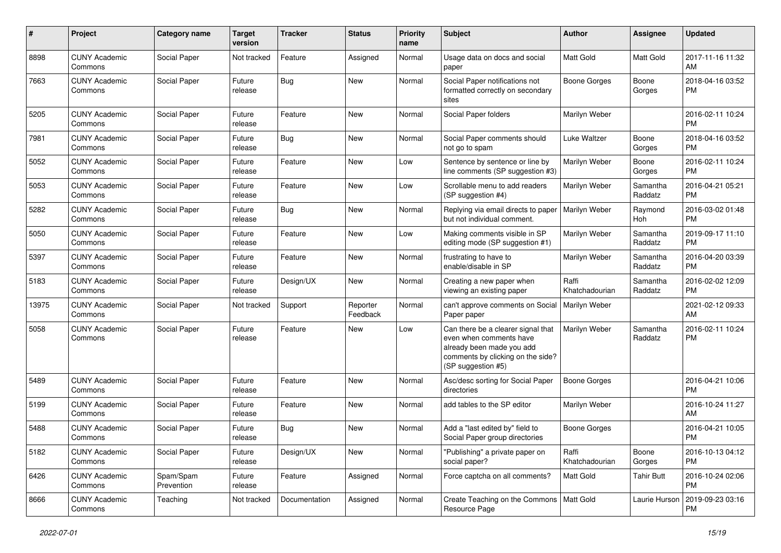| $\#$  | Project                         | <b>Category name</b>    | <b>Target</b><br>version | <b>Tracker</b> | <b>Status</b>        | <b>Priority</b><br>name | <b>Subject</b>                                                                                                                                        | Author                  | <b>Assignee</b>     | <b>Updated</b>                |
|-------|---------------------------------|-------------------------|--------------------------|----------------|----------------------|-------------------------|-------------------------------------------------------------------------------------------------------------------------------------------------------|-------------------------|---------------------|-------------------------------|
| 8898  | <b>CUNY Academic</b><br>Commons | Social Paper            | Not tracked              | Feature        | Assigned             | Normal                  | Usage data on docs and social<br>paper                                                                                                                | <b>Matt Gold</b>        | Matt Gold           | 2017-11-16 11:32<br>AM        |
| 7663  | <b>CUNY Academic</b><br>Commons | Social Paper            | Future<br>release        | Bug            | New                  | Normal                  | Social Paper notifications not<br>formatted correctly on secondary<br>sites                                                                           | <b>Boone Gorges</b>     | Boone<br>Gorges     | 2018-04-16 03:52<br><b>PM</b> |
| 5205  | <b>CUNY Academic</b><br>Commons | Social Paper            | Future<br>release        | Feature        | New                  | Normal                  | Social Paper folders                                                                                                                                  | Marilyn Weber           |                     | 2016-02-11 10:24<br><b>PM</b> |
| 7981  | <b>CUNY Academic</b><br>Commons | Social Paper            | Future<br>release        | Bug            | <b>New</b>           | Normal                  | Social Paper comments should<br>not go to spam                                                                                                        | Luke Waltzer            | Boone<br>Gorges     | 2018-04-16 03:52<br><b>PM</b> |
| 5052  | <b>CUNY Academic</b><br>Commons | Social Paper            | Future<br>release        | Feature        | <b>New</b>           | Low                     | Sentence by sentence or line by<br>line comments (SP suggestion #3)                                                                                   | Marilyn Weber           | Boone<br>Gorges     | 2016-02-11 10:24<br><b>PM</b> |
| 5053  | <b>CUNY Academic</b><br>Commons | Social Paper            | Future<br>release        | Feature        | <b>New</b>           | Low                     | Scrollable menu to add readers<br>(SP suggestion #4)                                                                                                  | Marilyn Weber           | Samantha<br>Raddatz | 2016-04-21 05:21<br><b>PM</b> |
| 5282  | <b>CUNY Academic</b><br>Commons | Social Paper            | Future<br>release        | Bug            | <b>New</b>           | Normal                  | Replying via email directs to paper<br>but not individual comment.                                                                                    | Marilyn Weber           | Raymond<br>Hoh      | 2016-03-02 01:48<br><b>PM</b> |
| 5050  | <b>CUNY Academic</b><br>Commons | Social Paper            | Future<br>release        | Feature        | <b>New</b>           | Low                     | Making comments visible in SP<br>editing mode (SP suggestion #1)                                                                                      | Marilyn Weber           | Samantha<br>Raddatz | 2019-09-17 11:10<br><b>PM</b> |
| 5397  | <b>CUNY Academic</b><br>Commons | Social Paper            | Future<br>release        | Feature        | New                  | Normal                  | frustrating to have to<br>enable/disable in SP                                                                                                        | Marilyn Weber           | Samantha<br>Raddatz | 2016-04-20 03:39<br><b>PM</b> |
| 5183  | <b>CUNY Academic</b><br>Commons | Social Paper            | Future<br>release        | Design/UX      | New                  | Normal                  | Creating a new paper when<br>viewing an existing paper                                                                                                | Raffi<br>Khatchadourian | Samantha<br>Raddatz | 2016-02-02 12:09<br><b>PM</b> |
| 13975 | <b>CUNY Academic</b><br>Commons | Social Paper            | Not tracked              | Support        | Reporter<br>Feedback | Normal                  | can't approve comments on Social<br>Paper paper                                                                                                       | Marilyn Weber           |                     | 2021-02-12 09:33<br>AM        |
| 5058  | <b>CUNY Academic</b><br>Commons | Social Paper            | Future<br>release        | Feature        | <b>New</b>           | Low                     | Can there be a clearer signal that<br>even when comments have<br>already been made you add<br>comments by clicking on the side?<br>(SP suggestion #5) | Marilyn Weber           | Samantha<br>Raddatz | 2016-02-11 10:24<br><b>PM</b> |
| 5489  | <b>CUNY Academic</b><br>Commons | Social Paper            | Future<br>release        | Feature        | <b>New</b>           | Normal                  | Asc/desc sorting for Social Paper<br>directories                                                                                                      | <b>Boone Gorges</b>     |                     | 2016-04-21 10:06<br><b>PM</b> |
| 5199  | <b>CUNY Academic</b><br>Commons | Social Paper            | Future<br>release        | Feature        | New                  | Normal                  | add tables to the SP editor                                                                                                                           | Marilyn Weber           |                     | 2016-10-24 11:27<br>AM        |
| 5488  | <b>CUNY Academic</b><br>Commons | Social Paper            | Future<br>release        | <b>Bug</b>     | <b>New</b>           | Normal                  | Add a "last edited by" field to<br>Social Paper group directories                                                                                     | Boone Gorges            |                     | 2016-04-21 10:05<br><b>PM</b> |
| 5182  | <b>CUNY Academic</b><br>Commons | Social Paper            | Future<br>release        | Design/UX      | New                  | Normal                  | "Publishing" a private paper on<br>social paper?                                                                                                      | Raffi<br>Khatchadourian | Boone<br>Gorges     | 2016-10-13 04:12<br><b>PM</b> |
| 6426  | <b>CUNY Academic</b><br>Commons | Spam/Spam<br>Prevention | Future<br>release        | Feature        | Assigned             | Normal                  | Force captcha on all comments?                                                                                                                        | Matt Gold               | <b>Tahir Butt</b>   | 2016-10-24 02:06<br><b>PM</b> |
| 8666  | <b>CUNY Academic</b><br>Commons | Teaching                | Not tracked              | Documentation  | Assigned             | Normal                  | Create Teaching on the Commons   Matt Gold<br>Resource Page                                                                                           |                         | Laurie Hurson       | 2019-09-23 03:16<br><b>PM</b> |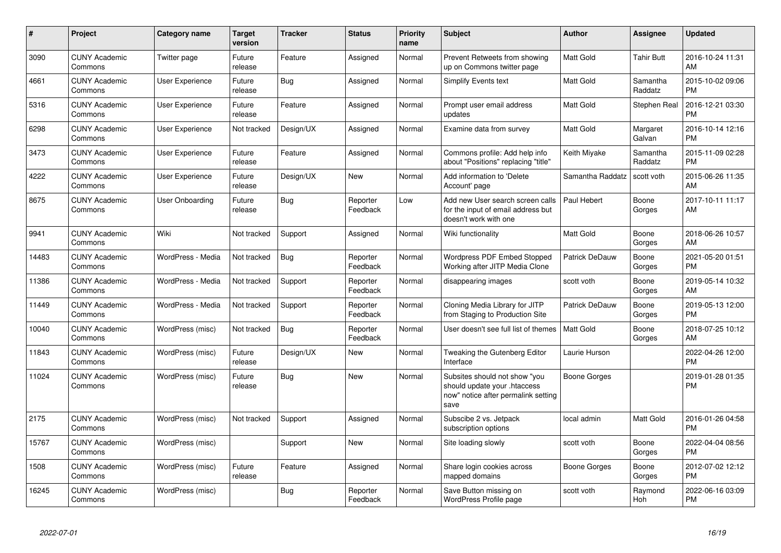| #     | <b>Project</b>                  | Category name          | <b>Target</b><br>version | <b>Tracker</b> | <b>Status</b>        | <b>Priority</b><br>name | <b>Subject</b>                                                                                               | <b>Author</b>         | Assignee            | <b>Updated</b>                |
|-------|---------------------------------|------------------------|--------------------------|----------------|----------------------|-------------------------|--------------------------------------------------------------------------------------------------------------|-----------------------|---------------------|-------------------------------|
| 3090  | <b>CUNY Academic</b><br>Commons | Twitter page           | Future<br>release        | Feature        | Assigned             | Normal                  | Prevent Retweets from showing<br>up on Commons twitter page                                                  | <b>Matt Gold</b>      | <b>Tahir Butt</b>   | 2016-10-24 11:31<br>AM        |
| 4661  | <b>CUNY Academic</b><br>Commons | <b>User Experience</b> | Future<br>release        | Bug            | Assigned             | Normal                  | <b>Simplify Events text</b>                                                                                  | <b>Matt Gold</b>      | Samantha<br>Raddatz | 2015-10-02 09:06<br><b>PM</b> |
| 5316  | <b>CUNY Academic</b><br>Commons | <b>User Experience</b> | Future<br>release        | Feature        | Assigned             | Normal                  | Prompt user email address<br>updates                                                                         | <b>Matt Gold</b>      | Stephen Real        | 2016-12-21 03:30<br><b>PM</b> |
| 6298  | <b>CUNY Academic</b><br>Commons | <b>User Experience</b> | Not tracked              | Design/UX      | Assigned             | Normal                  | Examine data from survey                                                                                     | Matt Gold             | Margaret<br>Galvan  | 2016-10-14 12:16<br><b>PM</b> |
| 3473  | <b>CUNY Academic</b><br>Commons | User Experience        | Future<br>release        | Feature        | Assigned             | Normal                  | Commons profile: Add help info<br>about "Positions" replacing "title"                                        | Keith Miyake          | Samantha<br>Raddatz | 2015-11-09 02:28<br><b>PM</b> |
| 4222  | <b>CUNY Academic</b><br>Commons | <b>User Experience</b> | Future<br>release        | Design/UX      | New                  | Normal                  | Add information to 'Delete<br>Account' page                                                                  | Samantha Raddatz      | scott voth          | 2015-06-26 11:35<br>AM        |
| 8675  | <b>CUNY Academic</b><br>Commons | User Onboarding        | Future<br>release        | Bug            | Reporter<br>Feedback | Low                     | Add new User search screen calls<br>for the input of email address but<br>doesn't work with one              | Paul Hebert           | Boone<br>Gorges     | 2017-10-11 11:17<br>AM        |
| 9941  | <b>CUNY Academic</b><br>Commons | Wiki                   | Not tracked              | Support        | Assigned             | Normal                  | Wiki functionality                                                                                           | Matt Gold             | Boone<br>Gorges     | 2018-06-26 10:57<br>AM        |
| 14483 | <b>CUNY Academic</b><br>Commons | WordPress - Media      | Not tracked              | <b>Bug</b>     | Reporter<br>Feedback | Normal                  | <b>Wordpress PDF Embed Stopped</b><br>Working after JITP Media Clone                                         | <b>Patrick DeDauw</b> | Boone<br>Gorges     | 2021-05-20 01:51<br><b>PM</b> |
| 11386 | <b>CUNY Academic</b><br>Commons | WordPress - Media      | Not tracked              | Support        | Reporter<br>Feedback | Normal                  | disappearing images                                                                                          | scott voth            | Boone<br>Gorges     | 2019-05-14 10:32<br>AM        |
| 11449 | <b>CUNY Academic</b><br>Commons | WordPress - Media      | Not tracked              | Support        | Reporter<br>Feedback | Normal                  | Cloning Media Library for JITP<br>from Staging to Production Site                                            | Patrick DeDauw        | Boone<br>Gorges     | 2019-05-13 12:00<br><b>PM</b> |
| 10040 | <b>CUNY Academic</b><br>Commons | WordPress (misc)       | Not tracked              | Bug            | Reporter<br>Feedback | Normal                  | User doesn't see full list of themes                                                                         | <b>Matt Gold</b>      | Boone<br>Gorges     | 2018-07-25 10:12<br><b>AM</b> |
| 11843 | <b>CUNY Academic</b><br>Commons | WordPress (misc)       | Future<br>release        | Design/UX      | <b>New</b>           | Normal                  | Tweaking the Gutenberg Editor<br>Interface                                                                   | Laurie Hurson         |                     | 2022-04-26 12:00<br><b>PM</b> |
| 11024 | <b>CUNY Academic</b><br>Commons | WordPress (misc)       | Future<br>release        | Bug            | New                  | Normal                  | Subsites should not show "you<br>should update your .htaccess<br>now" notice after permalink setting<br>save | <b>Boone Gorges</b>   |                     | 2019-01-28 01:35<br>PM        |
| 2175  | <b>CUNY Academic</b><br>Commons | WordPress (misc)       | Not tracked              | Support        | Assigned             | Normal                  | Subscibe 2 vs. Jetpack<br>subscription options                                                               | local admin           | Matt Gold           | 2016-01-26 04:58<br><b>PM</b> |
| 15767 | <b>CUNY Academic</b><br>Commons | WordPress (misc)       |                          | Support        | <b>New</b>           | Normal                  | Site loading slowly                                                                                          | scott voth            | Boone<br>Gorges     | 2022-04-04 08:56<br><b>PM</b> |
| 1508  | <b>CUNY Academic</b><br>Commons | WordPress (misc)       | Future<br>release        | Feature        | Assigned             | Normal                  | Share login cookies across<br>mapped domains                                                                 | Boone Gorges          | Boone<br>Gorges     | 2012-07-02 12:12<br><b>PM</b> |
| 16245 | <b>CUNY Academic</b><br>Commons | WordPress (misc)       |                          | Bug            | Reporter<br>Feedback | Normal                  | Save Button missing on<br>WordPress Profile page                                                             | scott voth            | Raymond<br>Hoh      | 2022-06-16 03:09<br>PM        |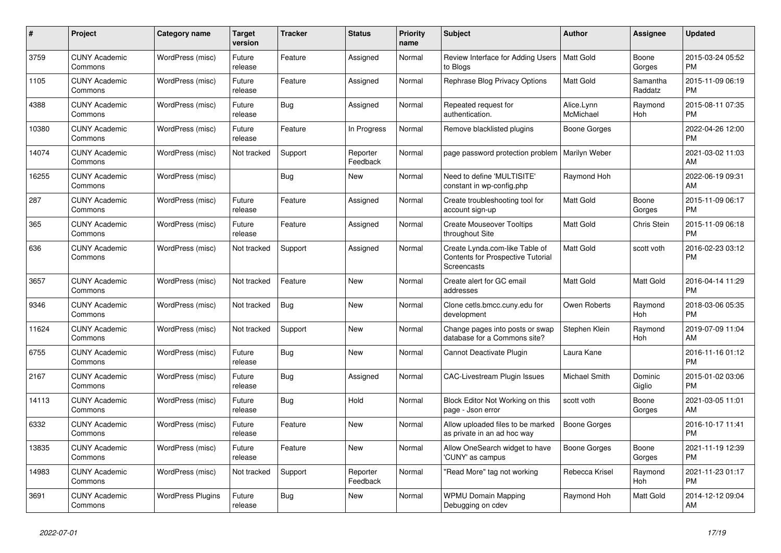| $\#$  | Project                         | <b>Category name</b>     | <b>Target</b><br>version | <b>Tracker</b> | <b>Status</b>        | <b>Priority</b><br>name | <b>Subject</b>                                                                                   | <b>Author</b>           | <b>Assignee</b>     | <b>Updated</b>                |
|-------|---------------------------------|--------------------------|--------------------------|----------------|----------------------|-------------------------|--------------------------------------------------------------------------------------------------|-------------------------|---------------------|-------------------------------|
| 3759  | <b>CUNY Academic</b><br>Commons | WordPress (misc)         | Future<br>release        | Feature        | Assigned             | Normal                  | Review Interface for Adding Users<br>to Blogs                                                    | Matt Gold               | Boone<br>Gorges     | 2015-03-24 05:52<br><b>PM</b> |
| 1105  | <b>CUNY Academic</b><br>Commons | WordPress (misc)         | Future<br>release        | Feature        | Assigned             | Normal                  | Rephrase Blog Privacy Options                                                                    | <b>Matt Gold</b>        | Samantha<br>Raddatz | 2015-11-09 06:19<br><b>PM</b> |
| 4388  | <b>CUNY Academic</b><br>Commons | WordPress (misc)         | Future<br>release        | <b>Bug</b>     | Assigned             | Normal                  | Repeated request for<br>authentication.                                                          | Alice.Lynn<br>McMichael | Raymond<br>Hoh      | 2015-08-11 07:35<br><b>PM</b> |
| 10380 | <b>CUNY Academic</b><br>Commons | WordPress (misc)         | Future<br>release        | Feature        | In Progress          | Normal                  | Remove blacklisted plugins                                                                       | Boone Gorges            |                     | 2022-04-26 12:00<br><b>PM</b> |
| 14074 | <b>CUNY Academic</b><br>Commons | WordPress (misc)         | Not tracked              | Support        | Reporter<br>Feedback | Normal                  | page password protection problem                                                                 | Marilyn Weber           |                     | 2021-03-02 11:03<br>AM        |
| 16255 | <b>CUNY Academic</b><br>Commons | WordPress (misc)         |                          | Bug            | New                  | Normal                  | Need to define 'MULTISITE'<br>constant in wp-config.php                                          | Raymond Hoh             |                     | 2022-06-19 09:31<br>AM        |
| 287   | <b>CUNY Academic</b><br>Commons | WordPress (misc)         | Future<br>release        | Feature        | Assigned             | Normal                  | Create troubleshooting tool for<br>account sign-up                                               | <b>Matt Gold</b>        | Boone<br>Gorges     | 2015-11-09 06:17<br><b>PM</b> |
| 365   | <b>CUNY Academic</b><br>Commons | WordPress (misc)         | Future<br>release        | Feature        | Assigned             | Normal                  | <b>Create Mouseover Tooltips</b><br>throughout Site                                              | <b>Matt Gold</b>        | Chris Stein         | 2015-11-09 06:18<br><b>PM</b> |
| 636   | <b>CUNY Academic</b><br>Commons | WordPress (misc)         | Not tracked              | Support        | Assigned             | Normal                  | Create Lynda.com-like Table of<br><b>Contents for Prospective Tutorial</b><br><b>Screencasts</b> | Matt Gold               | scott voth          | 2016-02-23 03:12<br><b>PM</b> |
| 3657  | <b>CUNY Academic</b><br>Commons | WordPress (misc)         | Not tracked              | Feature        | <b>New</b>           | Normal                  | Create alert for GC email<br>addresses                                                           | Matt Gold               | Matt Gold           | 2016-04-14 11:29<br><b>PM</b> |
| 9346  | <b>CUNY Academic</b><br>Commons | WordPress (misc)         | Not tracked              | Bug            | New                  | Normal                  | Clone cetls.bmcc.cuny.edu for<br>development                                                     | Owen Roberts            | Raymond<br>Hoh      | 2018-03-06 05:35<br><b>PM</b> |
| 11624 | <b>CUNY Academic</b><br>Commons | WordPress (misc)         | Not tracked              | Support        | <b>New</b>           | Normal                  | Change pages into posts or swap<br>database for a Commons site?                                  | Stephen Klein           | Raymond<br>Hoh      | 2019-07-09 11:04<br>AM        |
| 6755  | <b>CUNY Academic</b><br>Commons | WordPress (misc)         | Future<br>release        | Bug            | <b>New</b>           | Normal                  | Cannot Deactivate Plugin                                                                         | Laura Kane              |                     | 2016-11-16 01:12<br><b>PM</b> |
| 2167  | <b>CUNY Academic</b><br>Commons | WordPress (misc)         | Future<br>release        | Bug            | Assigned             | Normal                  | <b>CAC-Livestream Plugin Issues</b>                                                              | Michael Smith           | Dominic<br>Giglio   | 2015-01-02 03:06<br><b>PM</b> |
| 14113 | <b>CUNY Academic</b><br>Commons | WordPress (misc)         | Future<br>release        | Bug            | Hold                 | Normal                  | Block Editor Not Working on this<br>page - Json error                                            | scott voth              | Boone<br>Gorges     | 2021-03-05 11:01<br>AM        |
| 6332  | <b>CUNY Academic</b><br>Commons | WordPress (misc)         | Future<br>release        | Feature        | New                  | Normal                  | Allow uploaded files to be marked<br>as private in an ad hoc way                                 | Boone Gorges            |                     | 2016-10-17 11:41<br><b>PM</b> |
| 13835 | <b>CUNY Academic</b><br>Commons | WordPress (misc)         | Future<br>release        | Feature        | <b>New</b>           | Normal                  | Allow OneSearch widget to have<br>'CUNY' as campus                                               | Boone Gorges            | Boone<br>Gorges     | 2021-11-19 12:39<br><b>PM</b> |
| 14983 | <b>CUNY Academic</b><br>Commons | WordPress (misc)         | Not tracked              | Support        | Reporter<br>Feedback | Normal                  | "Read More" tag not working                                                                      | Rebecca Krisel          | Raymond<br>Hoh      | 2021-11-23 01:17<br><b>PM</b> |
| 3691  | <b>CUNY Academic</b><br>Commons | <b>WordPress Plugins</b> | Future<br>release        | <b>Bug</b>     | <b>New</b>           | Normal                  | <b>WPMU Domain Mapping</b><br>Debugging on cdev                                                  | Raymond Hoh             | Matt Gold           | 2014-12-12 09:04<br>AM        |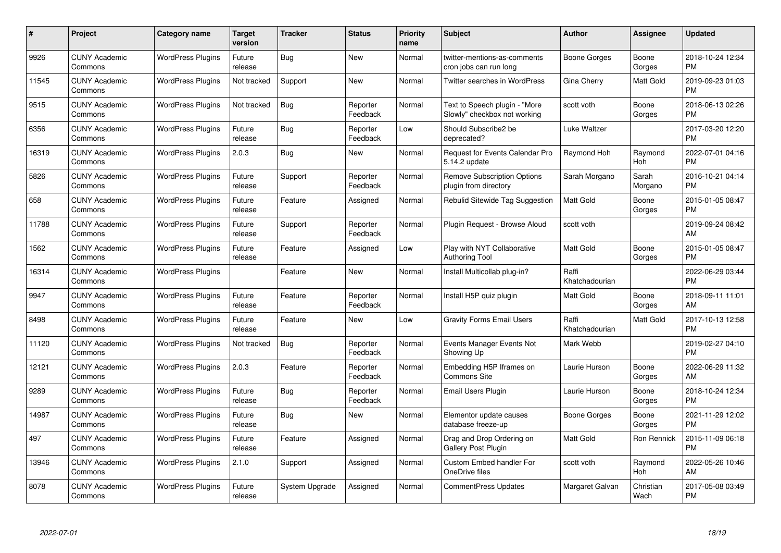| #     | Project                         | <b>Category name</b>     | <b>Target</b><br>version | <b>Tracker</b> | <b>Status</b>        | Priority<br>name | <b>Subject</b>                                                | <b>Author</b>           | <b>Assignee</b>   | <b>Updated</b>                |
|-------|---------------------------------|--------------------------|--------------------------|----------------|----------------------|------------------|---------------------------------------------------------------|-------------------------|-------------------|-------------------------------|
| 9926  | <b>CUNY Academic</b><br>Commons | <b>WordPress Plugins</b> | Future<br>release        | Bug            | <b>New</b>           | Normal           | twitter-mentions-as-comments<br>cron jobs can run long        | Boone Gorges            | Boone<br>Gorges   | 2018-10-24 12:34<br><b>PM</b> |
| 11545 | <b>CUNY Academic</b><br>Commons | <b>WordPress Plugins</b> | Not tracked              | Support        | <b>New</b>           | Normal           | <b>Twitter searches in WordPress</b>                          | Gina Cherry             | Matt Gold         | 2019-09-23 01:03<br><b>PM</b> |
| 9515  | <b>CUNY Academic</b><br>Commons | <b>WordPress Plugins</b> | Not tracked              | Bug            | Reporter<br>Feedback | Normal           | Text to Speech plugin - "More<br>Slowly" checkbox not working | scott voth              | Boone<br>Gorges   | 2018-06-13 02:26<br><b>PM</b> |
| 6356  | <b>CUNY Academic</b><br>Commons | <b>WordPress Plugins</b> | Future<br>release        | Bug            | Reporter<br>Feedback | Low              | Should Subscribe2 be<br>deprecated?                           | Luke Waltzer            |                   | 2017-03-20 12:20<br><b>PM</b> |
| 16319 | <b>CUNY Academic</b><br>Commons | <b>WordPress Plugins</b> | 2.0.3                    | <b>Bug</b>     | New                  | Normal           | Request for Events Calendar Pro<br>5.14.2 update              | Raymond Hoh             | Raymond<br>Hoh    | 2022-07-01 04:16<br><b>PM</b> |
| 5826  | <b>CUNY Academic</b><br>Commons | <b>WordPress Plugins</b> | Future<br>release        | Support        | Reporter<br>Feedback | Normal           | <b>Remove Subscription Options</b><br>plugin from directory   | Sarah Morgano           | Sarah<br>Morgano  | 2016-10-21 04:14<br><b>PM</b> |
| 658   | <b>CUNY Academic</b><br>Commons | <b>WordPress Plugins</b> | Future<br>release        | Feature        | Assigned             | Normal           | Rebulid Sitewide Tag Suggestion                               | Matt Gold               | Boone<br>Gorges   | 2015-01-05 08:47<br><b>PM</b> |
| 11788 | <b>CUNY Academic</b><br>Commons | <b>WordPress Plugins</b> | Future<br>release        | Support        | Reporter<br>Feedback | Normal           | Plugin Request - Browse Aloud                                 | scott voth              |                   | 2019-09-24 08:42<br>AM        |
| 1562  | <b>CUNY Academic</b><br>Commons | <b>WordPress Plugins</b> | Future<br>release        | Feature        | Assigned             | Low              | Play with NYT Collaborative<br><b>Authoring Tool</b>          | Matt Gold               | Boone<br>Gorges   | 2015-01-05 08:47<br><b>PM</b> |
| 16314 | <b>CUNY Academic</b><br>Commons | <b>WordPress Plugins</b> |                          | Feature        | <b>New</b>           | Normal           | Install Multicollab plug-in?                                  | Raffi<br>Khatchadourian |                   | 2022-06-29 03:44<br><b>PM</b> |
| 9947  | <b>CUNY Academic</b><br>Commons | <b>WordPress Plugins</b> | Future<br>release        | Feature        | Reporter<br>Feedback | Normal           | Install H5P quiz plugin                                       | Matt Gold               | Boone<br>Gorges   | 2018-09-11 11:01<br>AM        |
| 8498  | <b>CUNY Academic</b><br>Commons | <b>WordPress Plugins</b> | Future<br>release        | Feature        | New                  | Low              | <b>Gravity Forms Email Users</b>                              | Raffi<br>Khatchadourian | Matt Gold         | 2017-10-13 12:58<br><b>PM</b> |
| 11120 | <b>CUNY Academic</b><br>Commons | <b>WordPress Plugins</b> | Not tracked              | Bug            | Reporter<br>Feedback | Normal           | Events Manager Events Not<br>Showing Up                       | Mark Webb               |                   | 2019-02-27 04:10<br><b>PM</b> |
| 12121 | <b>CUNY Academic</b><br>Commons | <b>WordPress Plugins</b> | 2.0.3                    | Feature        | Reporter<br>Feedback | Normal           | Embedding H5P Iframes on<br><b>Commons Site</b>               | Laurie Hurson           | Boone<br>Gorges   | 2022-06-29 11:32<br>AM        |
| 9289  | <b>CUNY Academic</b><br>Commons | <b>WordPress Plugins</b> | Future<br>release        | Bug            | Reporter<br>Feedback | Normal           | Email Users Plugin                                            | Laurie Hurson           | Boone<br>Gorges   | 2018-10-24 12:34<br><b>PM</b> |
| 14987 | <b>CUNY Academic</b><br>Commons | <b>WordPress Plugins</b> | Future<br>release        | Bug            | New                  | Normal           | Elementor update causes<br>database freeze-up                 | Boone Gorges            | Boone<br>Gorges   | 2021-11-29 12:02<br><b>PM</b> |
| 497   | <b>CUNY Academic</b><br>Commons | <b>WordPress Plugins</b> | Future<br>release        | Feature        | Assigned             | Normal           | Drag and Drop Ordering on<br><b>Gallery Post Plugin</b>       | <b>Matt Gold</b>        | Ron Rennick       | 2015-11-09 06:18<br><b>PM</b> |
| 13946 | <b>CUNY Academic</b><br>Commons | <b>WordPress Plugins</b> | 2.1.0                    | Support        | Assigned             | Normal           | Custom Embed handler For<br>OneDrive files                    | scott voth              | Raymond<br>Hoh    | 2022-05-26 10:46<br>AM        |
| 8078  | CUNY Academic<br>Commons        | <b>WordPress Plugins</b> | Future<br>release        | System Upgrade | Assigned             | Normal           | <b>CommentPress Updates</b>                                   | Margaret Galvan         | Christian<br>Wach | 2017-05-08 03:49<br><b>PM</b> |